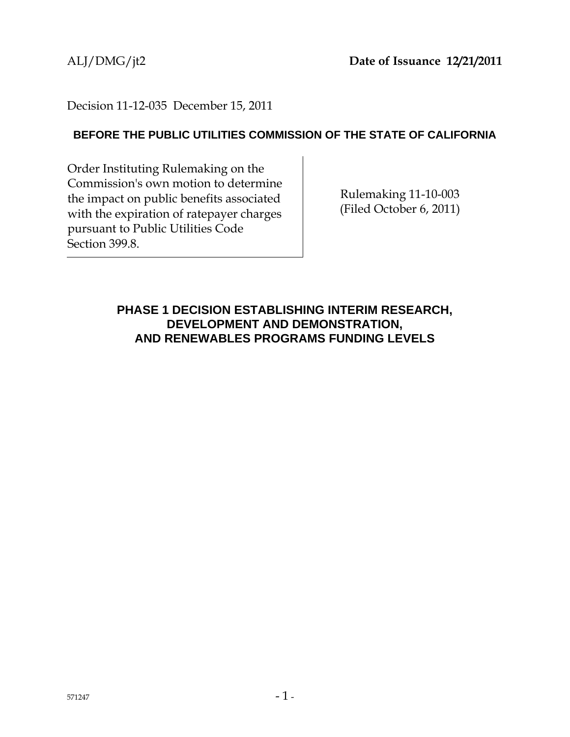# Decision 11-12-035 December 15, 2011

# **BEFORE THE PUBLIC UTILITIES COMMISSION OF THE STATE OF CALIFORNIA**

Order Instituting Rulemaking on the Commission's own motion to determine the impact on public benefits associated with the expiration of ratepayer charges pursuant to Public Utilities Code Section 399.8.

Rulemaking 11-10-003 (Filed October 6, 2011)

# **PHASE 1 DECISION ESTABLISHING INTERIM RESEARCH, DEVELOPMENT AND DEMONSTRATION, AND RENEWABLES PROGRAMS FUNDING LEVELS**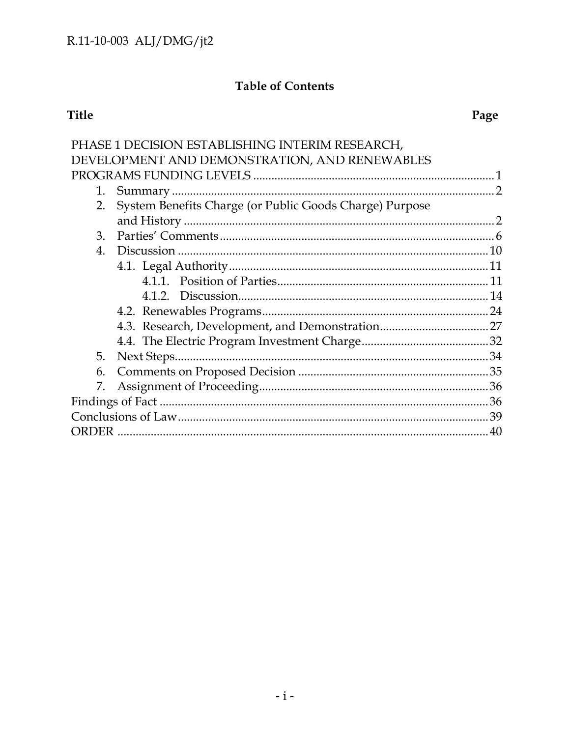# **Table of Contents**

# Title

| PHASE 1 DECISION ESTABLISHING INTERIM RESEARCH,               |     |
|---------------------------------------------------------------|-----|
| DEVELOPMENT AND DEMONSTRATION, AND RENEWABLES                 |     |
|                                                               |     |
| 1.                                                            |     |
| System Benefits Charge (or Public Goods Charge) Purpose<br>2. |     |
|                                                               |     |
| 3.                                                            |     |
| 4.                                                            |     |
|                                                               |     |
|                                                               |     |
|                                                               |     |
|                                                               |     |
|                                                               |     |
|                                                               |     |
| 5.                                                            |     |
| 6.                                                            |     |
| 7.                                                            |     |
|                                                               |     |
|                                                               |     |
| <b>ORDER</b>                                                  | .40 |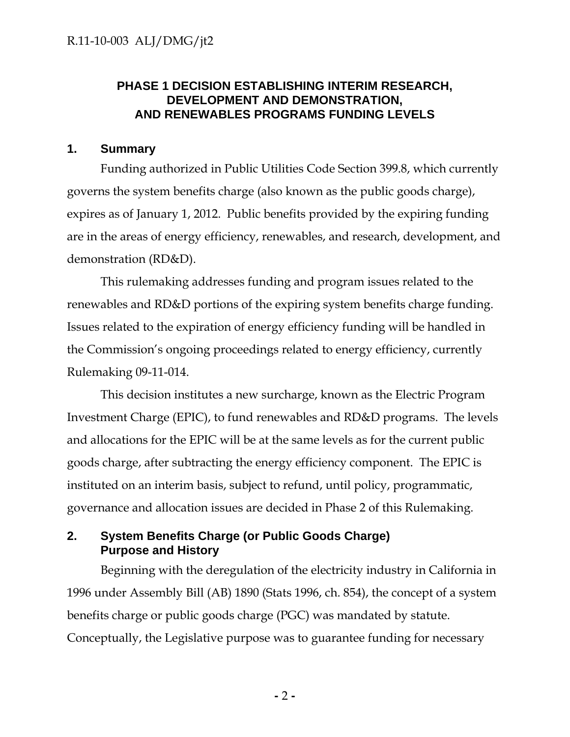# **PHASE 1 DECISION ESTABLISHING INTERIM RESEARCH, DEVELOPMENT AND DEMONSTRATION, AND RENEWABLES PROGRAMS FUNDING LEVELS**

## **1. Summary**

Funding authorized in Public Utilities Code Section 399.8, which currently governs the system benefits charge (also known as the public goods charge), expires as of January 1, 2012. Public benefits provided by the expiring funding are in the areas of energy efficiency, renewables, and research, development, and demonstration (RD&D).

This rulemaking addresses funding and program issues related to the renewables and RD&D portions of the expiring system benefits charge funding. Issues related to the expiration of energy efficiency funding will be handled in the Commission's ongoing proceedings related to energy efficiency, currently Rulemaking 09-11-014.

This decision institutes a new surcharge, known as the Electric Program Investment Charge (EPIC), to fund renewables and RD&D programs. The levels and allocations for the EPIC will be at the same levels as for the current public goods charge, after subtracting the energy efficiency component. The EPIC is instituted on an interim basis, subject to refund, until policy, programmatic, governance and allocation issues are decided in Phase 2 of this Rulemaking.

# **2. System Benefits Charge (or Public Goods Charge) Purpose and History**

Beginning with the deregulation of the electricity industry in California in 1996 under Assembly Bill (AB) 1890 (Stats 1996, ch. 854), the concept of a system benefits charge or public goods charge (PGC) was mandated by statute. Conceptually, the Legislative purpose was to guarantee funding for necessary

**-** 2 **-**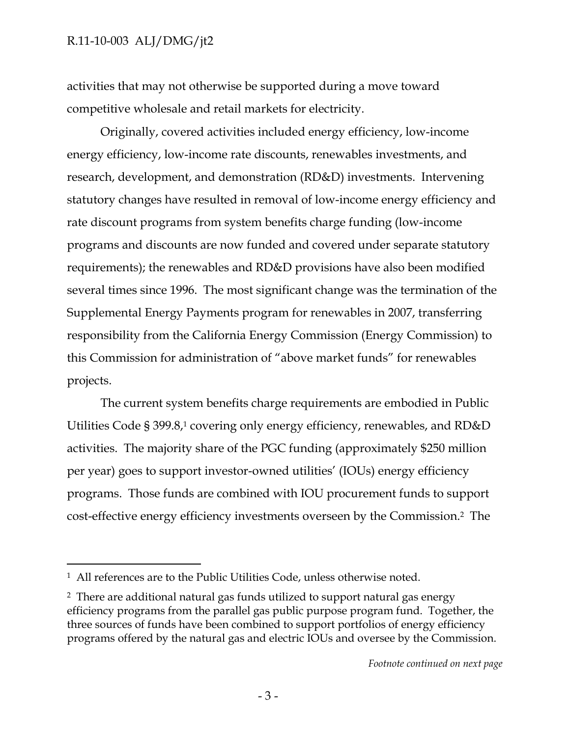-

activities that may not otherwise be supported during a move toward competitive wholesale and retail markets for electricity.

Originally, covered activities included energy efficiency, low-income energy efficiency, low-income rate discounts, renewables investments, and research, development, and demonstration (RD&D) investments. Intervening statutory changes have resulted in removal of low-income energy efficiency and rate discount programs from system benefits charge funding (low-income programs and discounts are now funded and covered under separate statutory requirements); the renewables and RD&D provisions have also been modified several times since 1996. The most significant change was the termination of the Supplemental Energy Payments program for renewables in 2007, transferring responsibility from the California Energy Commission (Energy Commission) to this Commission for administration of "above market funds" for renewables projects.

The current system benefits charge requirements are embodied in Public Utilities Code § 399.8,1 covering only energy efficiency, renewables, and RD&D activities. The majority share of the PGC funding (approximately \$250 million per year) goes to support investor-owned utilities' (IOUs) energy efficiency programs. Those funds are combined with IOU procurement funds to support cost-effective energy efficiency investments overseen by the Commission.2 The

<sup>&</sup>lt;sup>1</sup> All references are to the Public Utilities Code, unless otherwise noted.

<sup>2</sup> There are additional natural gas funds utilized to support natural gas energy efficiency programs from the parallel gas public purpose program fund. Together, the three sources of funds have been combined to support portfolios of energy efficiency programs offered by the natural gas and electric IOUs and oversee by the Commission.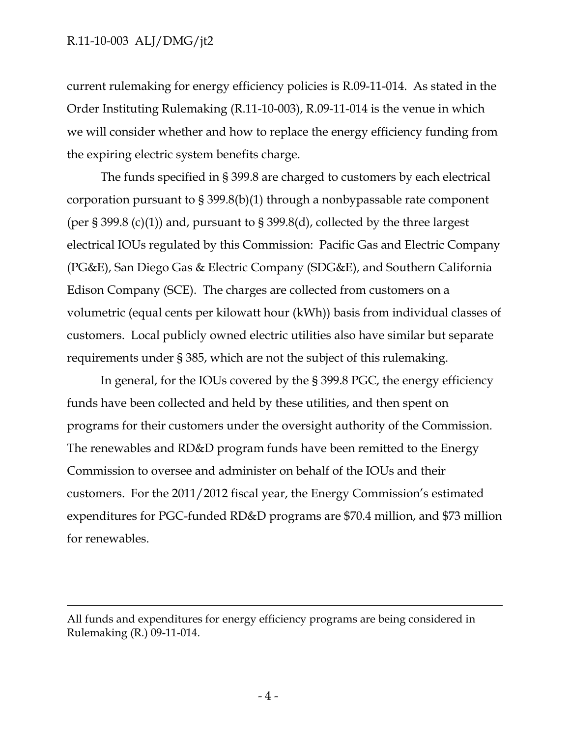$\overline{a}$ 

current rulemaking for energy efficiency policies is R.09-11-014. As stated in the Order Instituting Rulemaking (R.11-10-003), R.09-11-014 is the venue in which we will consider whether and how to replace the energy efficiency funding from the expiring electric system benefits charge.

The funds specified in § 399.8 are charged to customers by each electrical corporation pursuant to § 399.8(b)(1) through a nonbypassable rate component (per § 399.8 (c)(1)) and, pursuant to § 399.8(d), collected by the three largest electrical IOUs regulated by this Commission: Pacific Gas and Electric Company (PG&E), San Diego Gas & Electric Company (SDG&E), and Southern California Edison Company (SCE). The charges are collected from customers on a volumetric (equal cents per kilowatt hour (kWh)) basis from individual classes of customers. Local publicly owned electric utilities also have similar but separate requirements under § 385, which are not the subject of this rulemaking.

In general, for the IOUs covered by the § 399.8 PGC, the energy efficiency funds have been collected and held by these utilities, and then spent on programs for their customers under the oversight authority of the Commission. The renewables and RD&D program funds have been remitted to the Energy Commission to oversee and administer on behalf of the IOUs and their customers. For the 2011/2012 fiscal year, the Energy Commission's estimated expenditures for PGC-funded RD&D programs are \$70.4 million, and \$73 million for renewables.

All funds and expenditures for energy efficiency programs are being considered in Rulemaking (R.) 09-11-014.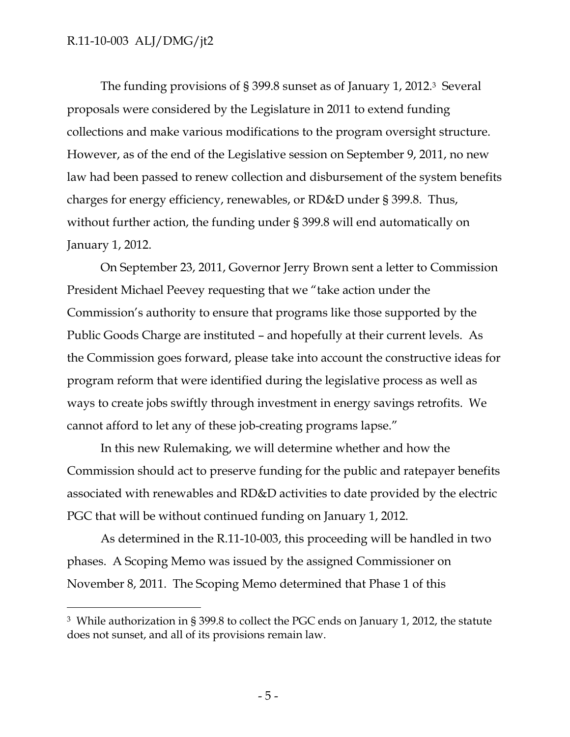$\overline{a}$ 

The funding provisions of § 399.8 sunset as of January 1, 2012.3 Several proposals were considered by the Legislature in 2011 to extend funding collections and make various modifications to the program oversight structure. However, as of the end of the Legislative session on September 9, 2011, no new law had been passed to renew collection and disbursement of the system benefits charges for energy efficiency, renewables, or RD&D under § 399.8. Thus, without further action, the funding under § 399.8 will end automatically on January 1, 2012.

On September 23, 2011, Governor Jerry Brown sent a letter to Commission President Michael Peevey requesting that we "take action under the Commission's authority to ensure that programs like those supported by the Public Goods Charge are instituted – and hopefully at their current levels. As the Commission goes forward, please take into account the constructive ideas for program reform that were identified during the legislative process as well as ways to create jobs swiftly through investment in energy savings retrofits. We cannot afford to let any of these job-creating programs lapse."

In this new Rulemaking, we will determine whether and how the Commission should act to preserve funding for the public and ratepayer benefits associated with renewables and RD&D activities to date provided by the electric PGC that will be without continued funding on January 1, 2012.

As determined in the R.11-10-003, this proceeding will be handled in two phases. A Scoping Memo was issued by the assigned Commissioner on November 8, 2011. The Scoping Memo determined that Phase 1 of this

<sup>3</sup> While authorization in § 399.8 to collect the PGC ends on January 1, 2012, the statute does not sunset, and all of its provisions remain law.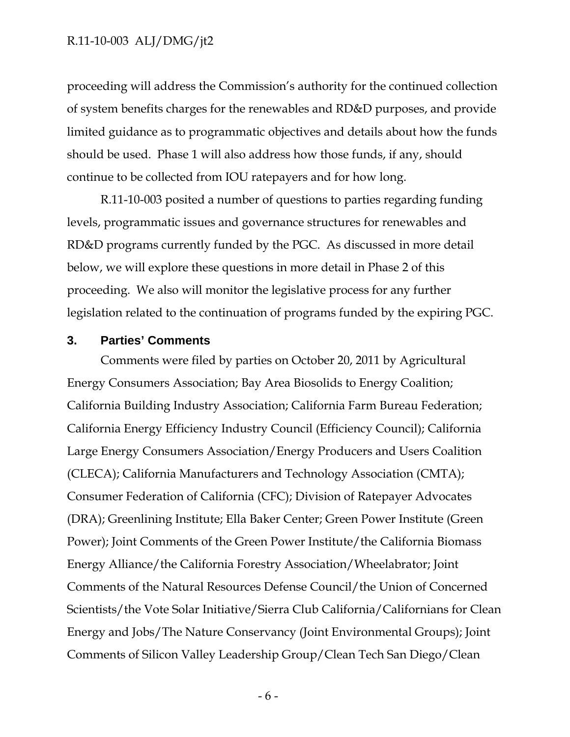proceeding will address the Commission's authority for the continued collection of system benefits charges for the renewables and RD&D purposes, and provide limited guidance as to programmatic objectives and details about how the funds should be used. Phase 1 will also address how those funds, if any, should continue to be collected from IOU ratepayers and for how long.

R.11-10-003 posited a number of questions to parties regarding funding levels, programmatic issues and governance structures for renewables and RD&D programs currently funded by the PGC. As discussed in more detail below, we will explore these questions in more detail in Phase 2 of this proceeding. We also will monitor the legislative process for any further legislation related to the continuation of programs funded by the expiring PGC.

#### **3. Parties' Comments**

Comments were filed by parties on October 20, 2011 by Agricultural Energy Consumers Association; Bay Area Biosolids to Energy Coalition; California Building Industry Association; California Farm Bureau Federation; California Energy Efficiency Industry Council (Efficiency Council); California Large Energy Consumers Association/Energy Producers and Users Coalition (CLECA); California Manufacturers and Technology Association (CMTA); Consumer Federation of California (CFC); Division of Ratepayer Advocates (DRA); Greenlining Institute; Ella Baker Center; Green Power Institute (Green Power); Joint Comments of the Green Power Institute/the California Biomass Energy Alliance/the California Forestry Association/Wheelabrator; Joint Comments of the Natural Resources Defense Council/the Union of Concerned Scientists/the Vote Solar Initiative/Sierra Club California/Californians for Clean Energy and Jobs/The Nature Conservancy (Joint Environmental Groups); Joint Comments of Silicon Valley Leadership Group/Clean Tech San Diego/Clean

- 6 -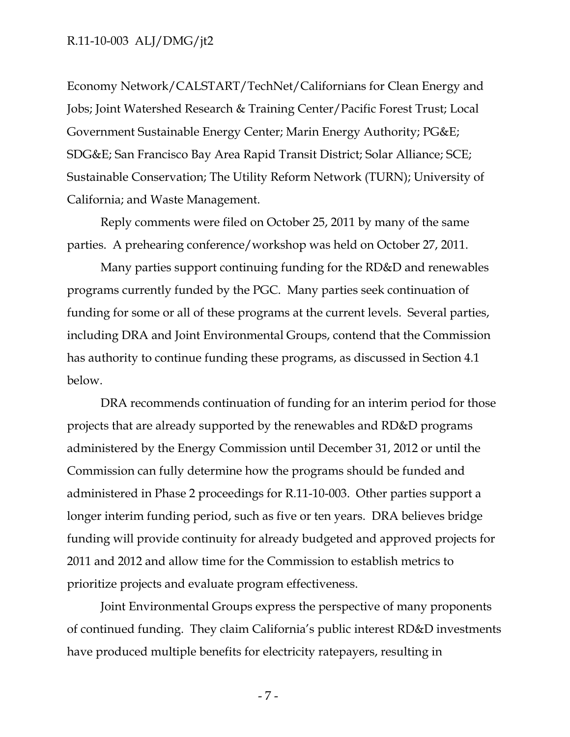Economy Network/CALSTART/TechNet/Californians for Clean Energy and Jobs; Joint Watershed Research & Training Center/Pacific Forest Trust; Local Government Sustainable Energy Center; Marin Energy Authority; PG&E; SDG&E; San Francisco Bay Area Rapid Transit District; Solar Alliance; SCE; Sustainable Conservation; The Utility Reform Network (TURN); University of California; and Waste Management.

Reply comments were filed on October 25, 2011 by many of the same parties. A prehearing conference/workshop was held on October 27, 2011.

Many parties support continuing funding for the RD&D and renewables programs currently funded by the PGC. Many parties seek continuation of funding for some or all of these programs at the current levels. Several parties, including DRA and Joint Environmental Groups, contend that the Commission has authority to continue funding these programs, as discussed in Section 4.1 below.

DRA recommends continuation of funding for an interim period for those projects that are already supported by the renewables and RD&D programs administered by the Energy Commission until December 31, 2012 or until the Commission can fully determine how the programs should be funded and administered in Phase 2 proceedings for R.11-10-003. Other parties support a longer interim funding period, such as five or ten years. DRA believes bridge funding will provide continuity for already budgeted and approved projects for 2011 and 2012 and allow time for the Commission to establish metrics to prioritize projects and evaluate program effectiveness.

Joint Environmental Groups express the perspective of many proponents of continued funding. They claim California's public interest RD&D investments have produced multiple benefits for electricity ratepayers, resulting in

- 7 -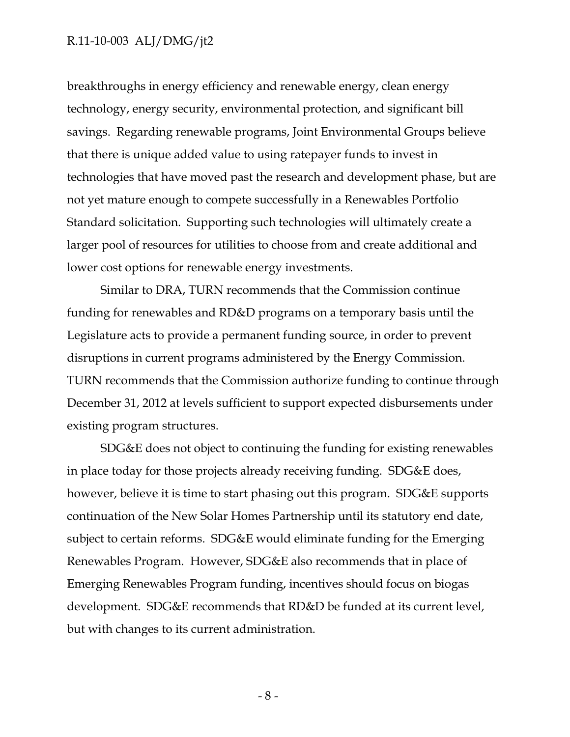breakthroughs in energy efficiency and renewable energy, clean energy technology, energy security, environmental protection, and significant bill savings. Regarding renewable programs, Joint Environmental Groups believe that there is unique added value to using ratepayer funds to invest in technologies that have moved past the research and development phase, but are not yet mature enough to compete successfully in a Renewables Portfolio Standard solicitation. Supporting such technologies will ultimately create a larger pool of resources for utilities to choose from and create additional and lower cost options for renewable energy investments.

Similar to DRA, TURN recommends that the Commission continue funding for renewables and RD&D programs on a temporary basis until the Legislature acts to provide a permanent funding source, in order to prevent disruptions in current programs administered by the Energy Commission. TURN recommends that the Commission authorize funding to continue through December 31, 2012 at levels sufficient to support expected disbursements under existing program structures.

SDG&E does not object to continuing the funding for existing renewables in place today for those projects already receiving funding. SDG&E does, however, believe it is time to start phasing out this program. SDG&E supports continuation of the New Solar Homes Partnership until its statutory end date, subject to certain reforms. SDG&E would eliminate funding for the Emerging Renewables Program. However, SDG&E also recommends that in place of Emerging Renewables Program funding, incentives should focus on biogas development. SDG&E recommends that RD&D be funded at its current level, but with changes to its current administration.

- 8 -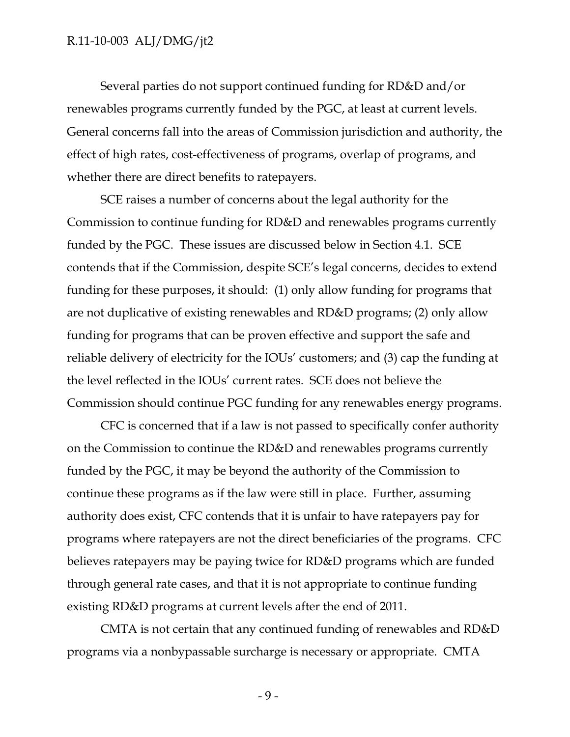Several parties do not support continued funding for RD&D and/or renewables programs currently funded by the PGC, at least at current levels. General concerns fall into the areas of Commission jurisdiction and authority, the effect of high rates, cost-effectiveness of programs, overlap of programs, and whether there are direct benefits to ratepayers.

SCE raises a number of concerns about the legal authority for the Commission to continue funding for RD&D and renewables programs currently funded by the PGC. These issues are discussed below in Section 4.1. SCE contends that if the Commission, despite SCE's legal concerns, decides to extend funding for these purposes, it should: (1) only allow funding for programs that are not duplicative of existing renewables and RD&D programs; (2) only allow funding for programs that can be proven effective and support the safe and reliable delivery of electricity for the IOUs' customers; and (3) cap the funding at the level reflected in the IOUs' current rates. SCE does not believe the Commission should continue PGC funding for any renewables energy programs.

CFC is concerned that if a law is not passed to specifically confer authority on the Commission to continue the RD&D and renewables programs currently funded by the PGC, it may be beyond the authority of the Commission to continue these programs as if the law were still in place. Further, assuming authority does exist, CFC contends that it is unfair to have ratepayers pay for programs where ratepayers are not the direct beneficiaries of the programs. CFC believes ratepayers may be paying twice for RD&D programs which are funded through general rate cases, and that it is not appropriate to continue funding existing RD&D programs at current levels after the end of 2011.

CMTA is not certain that any continued funding of renewables and RD&D programs via a nonbypassable surcharge is necessary or appropriate. CMTA

 $-9-$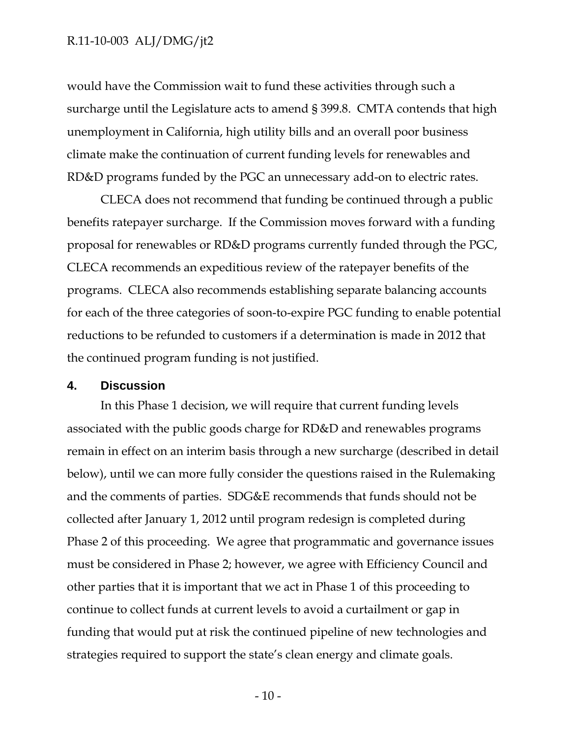would have the Commission wait to fund these activities through such a surcharge until the Legislature acts to amend § 399.8. CMTA contends that high unemployment in California, high utility bills and an overall poor business climate make the continuation of current funding levels for renewables and RD&D programs funded by the PGC an unnecessary add-on to electric rates.

CLECA does not recommend that funding be continued through a public benefits ratepayer surcharge. If the Commission moves forward with a funding proposal for renewables or RD&D programs currently funded through the PGC, CLECA recommends an expeditious review of the ratepayer benefits of the programs. CLECA also recommends establishing separate balancing accounts for each of the three categories of soon-to-expire PGC funding to enable potential reductions to be refunded to customers if a determination is made in 2012 that the continued program funding is not justified.

## **4. Discussion**

In this Phase 1 decision, we will require that current funding levels associated with the public goods charge for RD&D and renewables programs remain in effect on an interim basis through a new surcharge (described in detail below), until we can more fully consider the questions raised in the Rulemaking and the comments of parties. SDG&E recommends that funds should not be collected after January 1, 2012 until program redesign is completed during Phase 2 of this proceeding. We agree that programmatic and governance issues must be considered in Phase 2; however, we agree with Efficiency Council and other parties that it is important that we act in Phase 1 of this proceeding to continue to collect funds at current levels to avoid a curtailment or gap in funding that would put at risk the continued pipeline of new technologies and strategies required to support the state's clean energy and climate goals.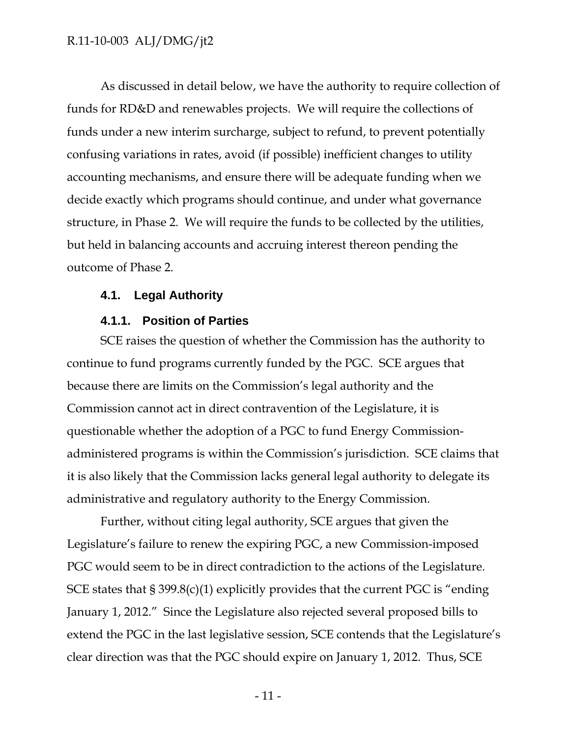As discussed in detail below, we have the authority to require collection of funds for RD&D and renewables projects. We will require the collections of funds under a new interim surcharge, subject to refund, to prevent potentially confusing variations in rates, avoid (if possible) inefficient changes to utility accounting mechanisms, and ensure there will be adequate funding when we decide exactly which programs should continue, and under what governance structure, in Phase 2. We will require the funds to be collected by the utilities, but held in balancing accounts and accruing interest thereon pending the outcome of Phase 2.

## **4.1. Legal Authority**

#### **4.1.1. Position of Parties**

SCE raises the question of whether the Commission has the authority to continue to fund programs currently funded by the PGC. SCE argues that because there are limits on the Commission's legal authority and the Commission cannot act in direct contravention of the Legislature, it is questionable whether the adoption of a PGC to fund Energy Commissionadministered programs is within the Commission's jurisdiction. SCE claims that it is also likely that the Commission lacks general legal authority to delegate its administrative and regulatory authority to the Energy Commission.

Further, without citing legal authority, SCE argues that given the Legislature's failure to renew the expiring PGC, a new Commission-imposed PGC would seem to be in direct contradiction to the actions of the Legislature. SCE states that § 399.8(c)(1) explicitly provides that the current PGC is "ending January 1, 2012." Since the Legislature also rejected several proposed bills to extend the PGC in the last legislative session, SCE contends that the Legislature's clear direction was that the PGC should expire on January 1, 2012. Thus, SCE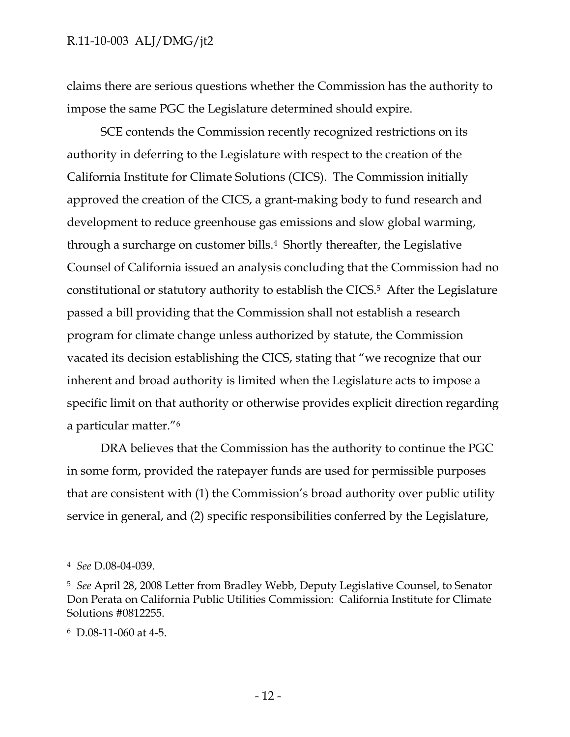claims there are serious questions whether the Commission has the authority to impose the same PGC the Legislature determined should expire.

SCE contends the Commission recently recognized restrictions on its authority in deferring to the Legislature with respect to the creation of the California Institute for Climate Solutions (CICS). The Commission initially approved the creation of the CICS, a grant-making body to fund research and development to reduce greenhouse gas emissions and slow global warming, through a surcharge on customer bills.4 Shortly thereafter, the Legislative Counsel of California issued an analysis concluding that the Commission had no constitutional or statutory authority to establish the CICS.5 After the Legislature passed a bill providing that the Commission shall not establish a research program for climate change unless authorized by statute, the Commission vacated its decision establishing the CICS, stating that "we recognize that our inherent and broad authority is limited when the Legislature acts to impose a specific limit on that authority or otherwise provides explicit direction regarding a particular matter."6

DRA believes that the Commission has the authority to continue the PGC in some form, provided the ratepayer funds are used for permissible purposes that are consistent with (1) the Commission's broad authority over public utility service in general, and (2) specific responsibilities conferred by the Legislature,

<sup>4</sup> *See* D.08-04-039.

<sup>5</sup> *See* April 28, 2008 Letter from Bradley Webb, Deputy Legislative Counsel, to Senator Don Perata on California Public Utilities Commission: California Institute for Climate Solutions #0812255.

<sup>6</sup> D.08-11-060 at 4-5.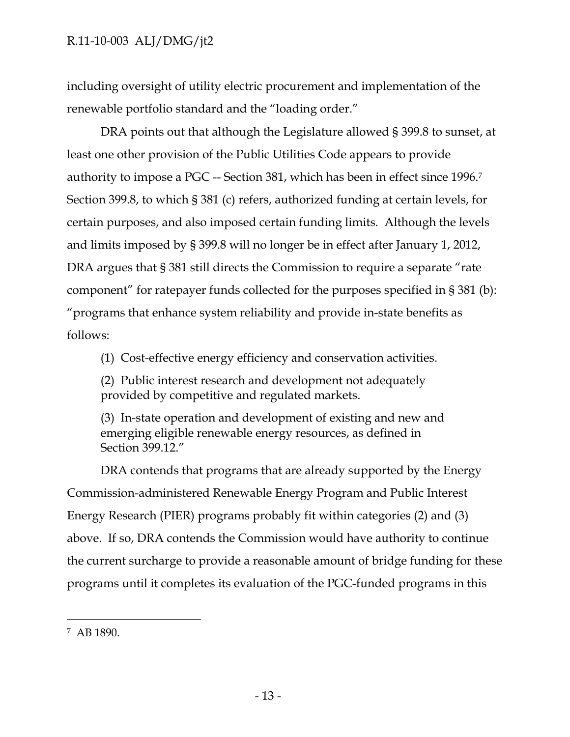including oversight of utility electric procurement and implementation of the renewable portfolio standard and the "loading order."

DRA points out that although the Legislature allowed § 399.8 to sunset, at least one other provision of the Public Utilities Code appears to provide authority to impose a PGC -- Section 381, which has been in effect since 1996.7 Section 399.8, to which § 381 (c) refers, authorized funding at certain levels, for certain purposes, and also imposed certain funding limits. Although the levels and limits imposed by § 399.8 will no longer be in effect after January 1, 2012, DRA argues that § 381 still directs the Commission to require a separate "rate" component" for ratepayer funds collected for the purposes specified in § 381 (b): "programs that enhance system reliability and provide in-state benefits as follows:

(1) Cost-effective energy efficiency and conservation activities.

(2) Public interest research and development not adequately provided by competitive and regulated markets.

(3) In-state operation and development of existing and new and emerging eligible renewable energy resources, as defined in Section 399.12."

DRA contends that programs that are already supported by the Energy Commission-administered Renewable Energy Program and Public Interest Energy Research (PIER) programs probably fit within categories (2) and (3) above. If so, DRA contends the Commission would have authority to continue the current surcharge to provide a reasonable amount of bridge funding for these programs until it completes its evaluation of the PGC-funded programs in this

<sup>7</sup> AB 1890.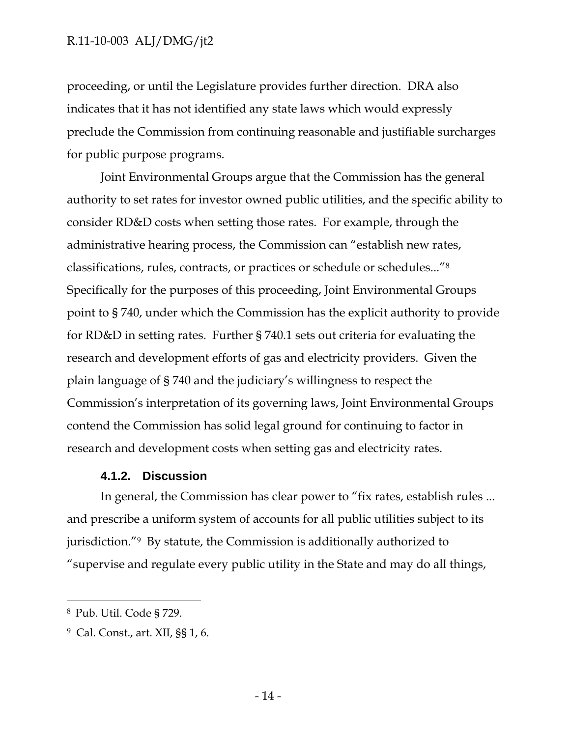proceeding, or until the Legislature provides further direction. DRA also indicates that it has not identified any state laws which would expressly preclude the Commission from continuing reasonable and justifiable surcharges for public purpose programs.

Joint Environmental Groups argue that the Commission has the general authority to set rates for investor owned public utilities, and the specific ability to consider RD&D costs when setting those rates. For example, through the administrative hearing process, the Commission can "establish new rates, classifications, rules, contracts, or practices or schedule or schedules..."8 Specifically for the purposes of this proceeding, Joint Environmental Groups point to § 740, under which the Commission has the explicit authority to provide for RD&D in setting rates. Further § 740.1 sets out criteria for evaluating the research and development efforts of gas and electricity providers. Given the plain language of § 740 and the judiciary's willingness to respect the Commission's interpretation of its governing laws, Joint Environmental Groups contend the Commission has solid legal ground for continuing to factor in research and development costs when setting gas and electricity rates.

## **4.1.2. Discussion**

In general, the Commission has clear power to "fix rates, establish rules ... and prescribe a uniform system of accounts for all public utilities subject to its jurisdiction."9 By statute, the Commission is additionally authorized to "supervise and regulate every public utility in the State and may do all things,

<sup>8</sup> Pub. Util. Code § 729.

<sup>9</sup> Cal. Const., art. XII, §§ 1, 6.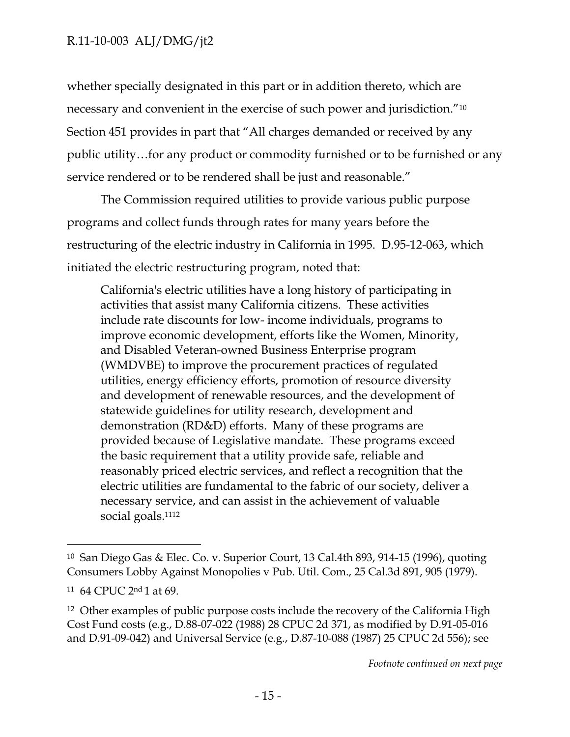whether specially designated in this part or in addition thereto, which are necessary and convenient in the exercise of such power and jurisdiction."10 Section 451 provides in part that "All charges demanded or received by any public utility…for any product or commodity furnished or to be furnished or any service rendered or to be rendered shall be just and reasonable."

The Commission required utilities to provide various public purpose programs and collect funds through rates for many years before the restructuring of the electric industry in California in 1995. D.95-12-063, which initiated the electric restructuring program, noted that:

California's electric utilities have a long history of participating in activities that assist many California citizens. These activities include rate discounts for low- income individuals, programs to improve economic development, efforts like the Women, Minority, and Disabled Veteran-owned Business Enterprise program (WMDVBE) to improve the procurement practices of regulated utilities, energy efficiency efforts, promotion of resource diversity and development of renewable resources, and the development of statewide guidelines for utility research, development and demonstration (RD&D) efforts. Many of these programs are provided because of Legislative mandate. These programs exceed the basic requirement that a utility provide safe, reliable and reasonably priced electric services, and reflect a recognition that the electric utilities are fundamental to the fabric of our society, deliver a necessary service, and can assist in the achievement of valuable social goals.<sup>1112</sup>

<sup>10</sup> San Diego Gas & Elec. Co. v. Superior Court, 13 Cal.4th 893, 914-15 (1996), quoting Consumers Lobby Against Monopolies v Pub. Util. Com., 25 Cal.3d 891, 905 (1979).

<sup>11 64</sup> CPUC 2nd 1 at 69.

<sup>&</sup>lt;sup>12</sup> Other examples of public purpose costs include the recovery of the California High Cost Fund costs (e.g., D.88-07-022 (1988) 28 CPUC 2d 371, as modified by D.91-05-016 and D.91-09-042) and Universal Service (e.g., D.87-10-088 (1987) 25 CPUC 2d 556); see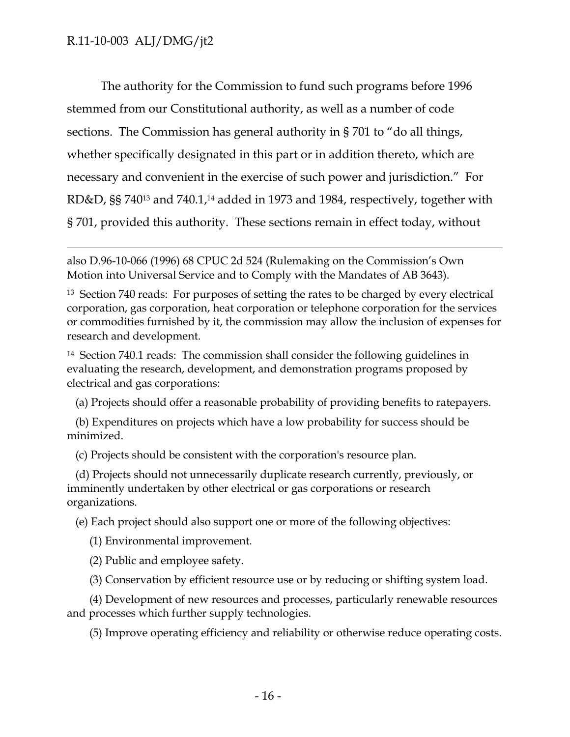$\overline{a}$ 

The authority for the Commission to fund such programs before 1996 stemmed from our Constitutional authority, as well as a number of code sections. The Commission has general authority in § 701 to "do all things, whether specifically designated in this part or in addition thereto, which are necessary and convenient in the exercise of such power and jurisdiction." For RD&D, §§ 740<sup>13</sup> and 740.1,<sup>14</sup> added in 1973 and 1984, respectively, together with § 701, provided this authority. These sections remain in effect today, without

14 Section 740.1 reads: The commission shall consider the following guidelines in evaluating the research, development, and demonstration programs proposed by electrical and gas corporations:

(a) Projects should offer a reasonable probability of providing benefits to ratepayers.

 (b) Expenditures on projects which have a low probability for success should be minimized.

(c) Projects should be consistent with the corporation's resource plan.

 (d) Projects should not unnecessarily duplicate research currently, previously, or imminently undertaken by other electrical or gas corporations or research organizations.

(e) Each project should also support one or more of the following objectives:

(1) Environmental improvement.

(2) Public and employee safety.

(3) Conservation by efficient resource use or by reducing or shifting system load.

 (4) Development of new resources and processes, particularly renewable resources and processes which further supply technologies.

(5) Improve operating efficiency and reliability or otherwise reduce operating costs.

also D.96-10-066 (1996) 68 CPUC 2d 524 (Rulemaking on the Commission's Own Motion into Universal Service and to Comply with the Mandates of AB 3643).

<sup>13</sup> Section 740 reads: For purposes of setting the rates to be charged by every electrical corporation, gas corporation, heat corporation or telephone corporation for the services or commodities furnished by it, the commission may allow the inclusion of expenses for research and development.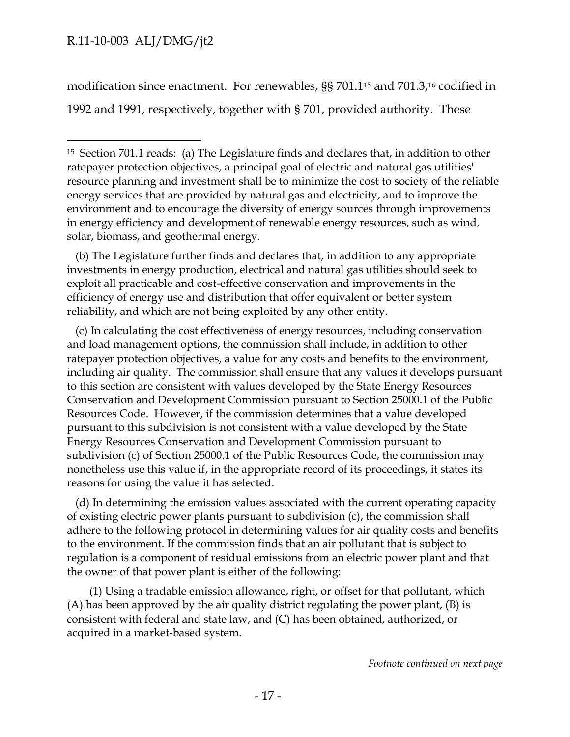$\overline{a}$ 

modification since enactment. For renewables, §§ 701.115 and 701.3,16 codified in 1992 and 1991, respectively, together with § 701, provided authority. These

 (b) The Legislature further finds and declares that, in addition to any appropriate investments in energy production, electrical and natural gas utilities should seek to exploit all practicable and cost-effective conservation and improvements in the efficiency of energy use and distribution that offer equivalent or better system reliability, and which are not being exploited by any other entity.

 (c) In calculating the cost effectiveness of energy resources, including conservation and load management options, the commission shall include, in addition to other ratepayer protection objectives, a value for any costs and benefits to the environment, including air quality. The commission shall ensure that any values it develops pursuant to this section are consistent with values developed by the State Energy Resources Conservation and Development Commission pursuant to Section 25000.1 of the Public Resources Code. However, if the commission determines that a value developed pursuant to this subdivision is not consistent with a value developed by the State Energy Resources Conservation and Development Commission pursuant to subdivision (c) of Section 25000.1 of the Public Resources Code, the commission may nonetheless use this value if, in the appropriate record of its proceedings, it states its reasons for using the value it has selected.

 (d) In determining the emission values associated with the current operating capacity of existing electric power plants pursuant to subdivision (c), the commission shall adhere to the following protocol in determining values for air quality costs and benefits to the environment. If the commission finds that an air pollutant that is subject to regulation is a component of residual emissions from an electric power plant and that the owner of that power plant is either of the following:

 (1) Using a tradable emission allowance, right, or offset for that pollutant, which (A) has been approved by the air quality district regulating the power plant, (B) is consistent with federal and state law, and (C) has been obtained, authorized, or acquired in a market-based system.

<sup>15</sup> Section 701.1 reads: (a) The Legislature finds and declares that, in addition to other ratepayer protection objectives, a principal goal of electric and natural gas utilities' resource planning and investment shall be to minimize the cost to society of the reliable energy services that are provided by natural gas and electricity, and to improve the environment and to encourage the diversity of energy sources through improvements in energy efficiency and development of renewable energy resources, such as wind, solar, biomass, and geothermal energy.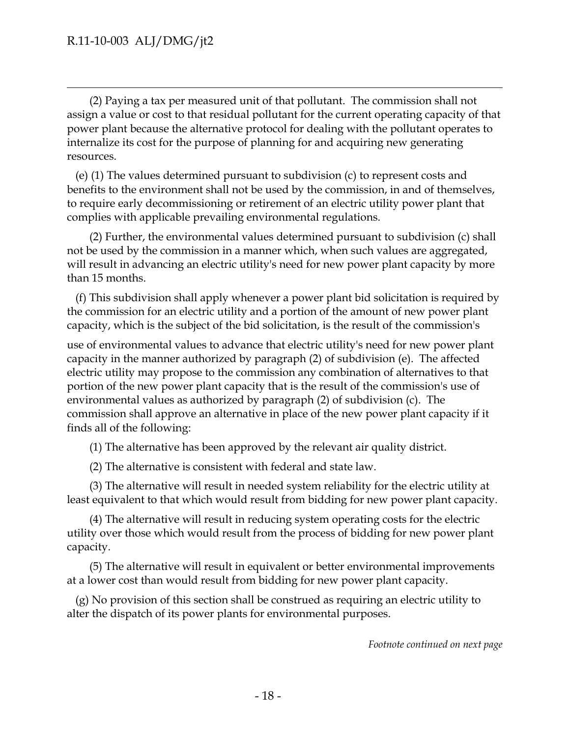$\overline{a}$ 

 (2) Paying a tax per measured unit of that pollutant. The commission shall not assign a value or cost to that residual pollutant for the current operating capacity of that power plant because the alternative protocol for dealing with the pollutant operates to internalize its cost for the purpose of planning for and acquiring new generating resources.

 (e) (1) The values determined pursuant to subdivision (c) to represent costs and benefits to the environment shall not be used by the commission, in and of themselves, to require early decommissioning or retirement of an electric utility power plant that complies with applicable prevailing environmental regulations.

 (2) Further, the environmental values determined pursuant to subdivision (c) shall not be used by the commission in a manner which, when such values are aggregated, will result in advancing an electric utility's need for new power plant capacity by more than 15 months.

 (f) This subdivision shall apply whenever a power plant bid solicitation is required by the commission for an electric utility and a portion of the amount of new power plant capacity, which is the subject of the bid solicitation, is the result of the commission's

use of environmental values to advance that electric utility's need for new power plant capacity in the manner authorized by paragraph (2) of subdivision (e). The affected electric utility may propose to the commission any combination of alternatives to that portion of the new power plant capacity that is the result of the commission's use of environmental values as authorized by paragraph (2) of subdivision (c). The commission shall approve an alternative in place of the new power plant capacity if it finds all of the following:

(1) The alternative has been approved by the relevant air quality district.

(2) The alternative is consistent with federal and state law.

 (3) The alternative will result in needed system reliability for the electric utility at least equivalent to that which would result from bidding for new power plant capacity.

 (4) The alternative will result in reducing system operating costs for the electric utility over those which would result from the process of bidding for new power plant capacity.

 (5) The alternative will result in equivalent or better environmental improvements at a lower cost than would result from bidding for new power plant capacity.

 (g) No provision of this section shall be construed as requiring an electric utility to alter the dispatch of its power plants for environmental purposes.

*Footnote continued on next page*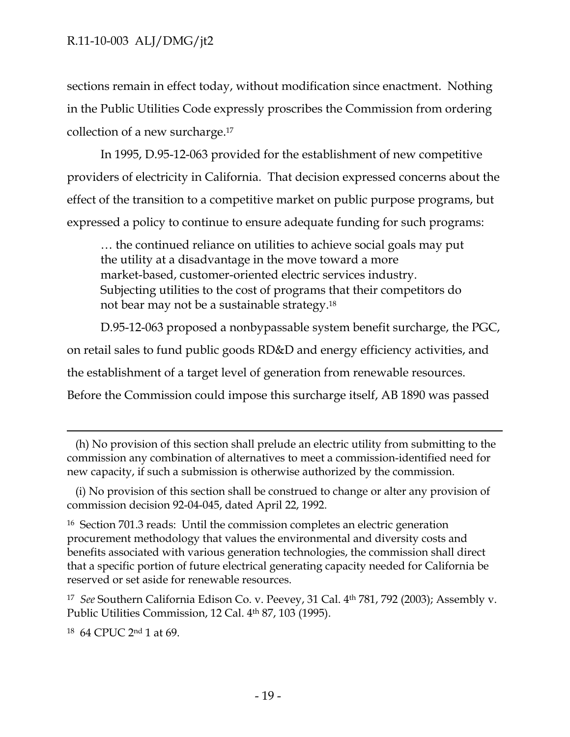sections remain in effect today, without modification since enactment. Nothing in the Public Utilities Code expressly proscribes the Commission from ordering collection of a new surcharge.17

In 1995, D.95-12-063 provided for the establishment of new competitive providers of electricity in California. That decision expressed concerns about the effect of the transition to a competitive market on public purpose programs, but expressed a policy to continue to ensure adequate funding for such programs:

… the continued reliance on utilities to achieve social goals may put the utility at a disadvantage in the move toward a more market-based, customer-oriented electric services industry. Subjecting utilities to the cost of programs that their competitors do not bear may not be a sustainable strategy.18

D.95-12-063 proposed a nonbypassable system benefit surcharge, the PGC, on retail sales to fund public goods RD&D and energy efficiency activities, and the establishment of a target level of generation from renewable resources. Before the Commission could impose this surcharge itself, AB 1890 was passed

18 64 CPUC 2nd 1 at 69.

 $\overline{a}$ 

 <sup>(</sup>h) No provision of this section shall prelude an electric utility from submitting to the commission any combination of alternatives to meet a commission-identified need for new capacity, if such a submission is otherwise authorized by the commission.

 <sup>(</sup>i) No provision of this section shall be construed to change or alter any provision of commission decision 92-04-045, dated April 22, 1992.

<sup>16</sup> Section 701.3 reads: Until the commission completes an electric generation procurement methodology that values the environmental and diversity costs and benefits associated with various generation technologies, the commission shall direct that a specific portion of future electrical generating capacity needed for California be reserved or set aside for renewable resources.

<sup>17</sup> *See* Southern California Edison Co. v. Peevey, 31 Cal. 4th 781, 792 (2003); Assembly v. Public Utilities Commission, 12 Cal. 4<sup>th</sup> 87, 103 (1995).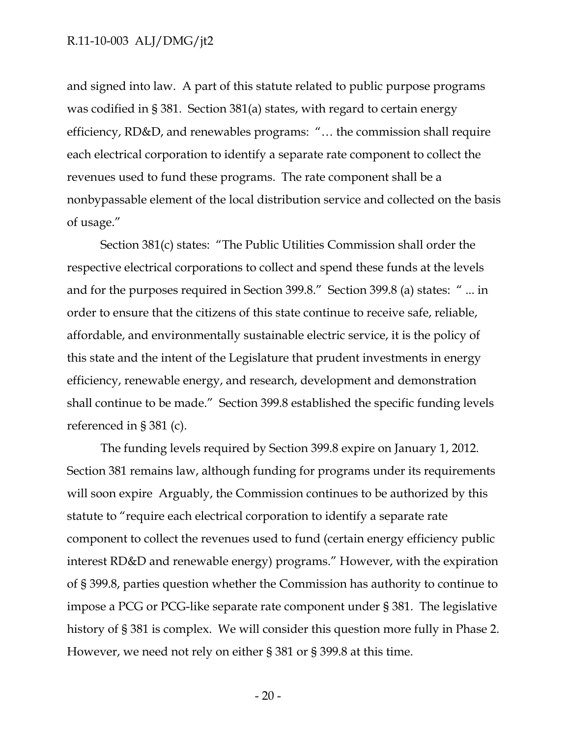and signed into law. A part of this statute related to public purpose programs was codified in § 381. Section 381(a) states, with regard to certain energy efficiency, RD&D, and renewables programs: "… the commission shall require each electrical corporation to identify a separate rate component to collect the revenues used to fund these programs. The rate component shall be a nonbypassable element of the local distribution service and collected on the basis of usage."

Section 381(c) states: "The Public Utilities Commission shall order the respective electrical corporations to collect and spend these funds at the levels and for the purposes required in Section 399.8." Section 399.8 (a) states: " ... in order to ensure that the citizens of this state continue to receive safe, reliable, affordable, and environmentally sustainable electric service, it is the policy of this state and the intent of the Legislature that prudent investments in energy efficiency, renewable energy, and research, development and demonstration shall continue to be made." Section 399.8 established the specific funding levels referenced in § 381 (c).

The funding levels required by Section 399.8 expire on January 1, 2012. Section 381 remains law, although funding for programs under its requirements will soon expire Arguably, the Commission continues to be authorized by this statute to "require each electrical corporation to identify a separate rate component to collect the revenues used to fund (certain energy efficiency public interest RD&D and renewable energy) programs." However, with the expiration of § 399.8, parties question whether the Commission has authority to continue to impose a PCG or PCG-like separate rate component under § 381. The legislative history of § 381 is complex. We will consider this question more fully in Phase 2. However, we need not rely on either § 381 or § 399.8 at this time.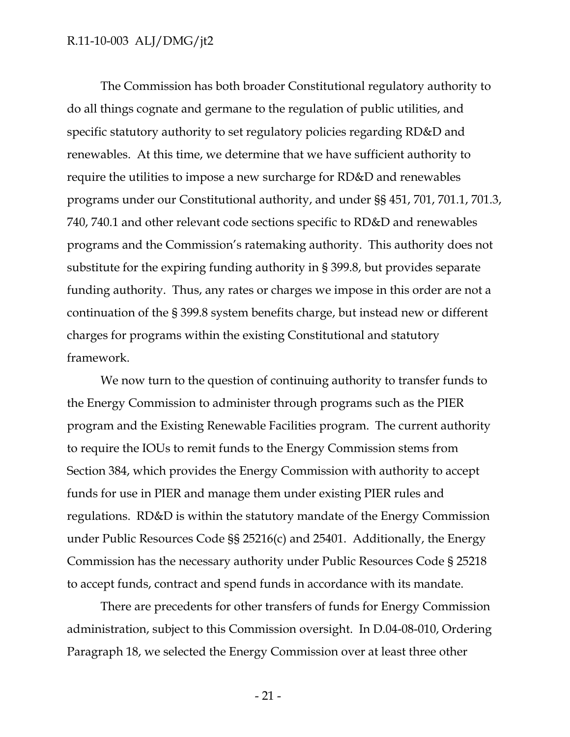The Commission has both broader Constitutional regulatory authority to do all things cognate and germane to the regulation of public utilities, and specific statutory authority to set regulatory policies regarding RD&D and renewables. At this time, we determine that we have sufficient authority to require the utilities to impose a new surcharge for RD&D and renewables programs under our Constitutional authority, and under §§ 451, 701, 701.1, 701.3, 740, 740.1 and other relevant code sections specific to RD&D and renewables programs and the Commission's ratemaking authority. This authority does not substitute for the expiring funding authority in § 399.8, but provides separate funding authority. Thus, any rates or charges we impose in this order are not a continuation of the § 399.8 system benefits charge, but instead new or different charges for programs within the existing Constitutional and statutory framework.

We now turn to the question of continuing authority to transfer funds to the Energy Commission to administer through programs such as the PIER program and the Existing Renewable Facilities program. The current authority to require the IOUs to remit funds to the Energy Commission stems from Section 384, which provides the Energy Commission with authority to accept funds for use in PIER and manage them under existing PIER rules and regulations. RD&D is within the statutory mandate of the Energy Commission under Public Resources Code §§ 25216(c) and 25401. Additionally, the Energy Commission has the necessary authority under Public Resources Code § 25218 to accept funds, contract and spend funds in accordance with its mandate.

There are precedents for other transfers of funds for Energy Commission administration, subject to this Commission oversight. In D.04-08-010, Ordering Paragraph 18, we selected the Energy Commission over at least three other

- 21 -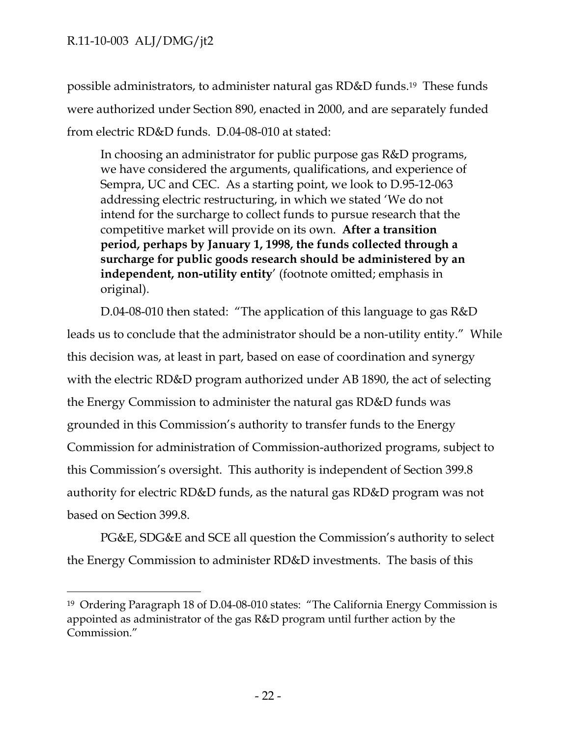$\overline{a}$ 

possible administrators, to administer natural gas RD&D funds.19 These funds were authorized under Section 890, enacted in 2000, and are separately funded from electric RD&D funds. D.04-08-010 at stated:

In choosing an administrator for public purpose gas R&D programs, we have considered the arguments, qualifications, and experience of Sempra, UC and CEC. As a starting point, we look to D.95-12-063 addressing electric restructuring, in which we stated 'We do not intend for the surcharge to collect funds to pursue research that the competitive market will provide on its own. **After a transition period, perhaps by January 1, 1998, the funds collected through a surcharge for public goods research should be administered by an independent, non-utility entity**' (footnote omitted; emphasis in original).

D.04-08-010 then stated: "The application of this language to gas R&D leads us to conclude that the administrator should be a non-utility entity." While this decision was, at least in part, based on ease of coordination and synergy with the electric RD&D program authorized under AB 1890, the act of selecting the Energy Commission to administer the natural gas RD&D funds was grounded in this Commission's authority to transfer funds to the Energy Commission for administration of Commission-authorized programs, subject to this Commission's oversight. This authority is independent of Section 399.8 authority for electric RD&D funds, as the natural gas RD&D program was not based on Section 399.8.

PG&E, SDG&E and SCE all question the Commission's authority to select the Energy Commission to administer RD&D investments. The basis of this

<sup>19</sup> Ordering Paragraph 18 of D.04-08-010 states: "The California Energy Commission is appointed as administrator of the gas R&D program until further action by the Commission."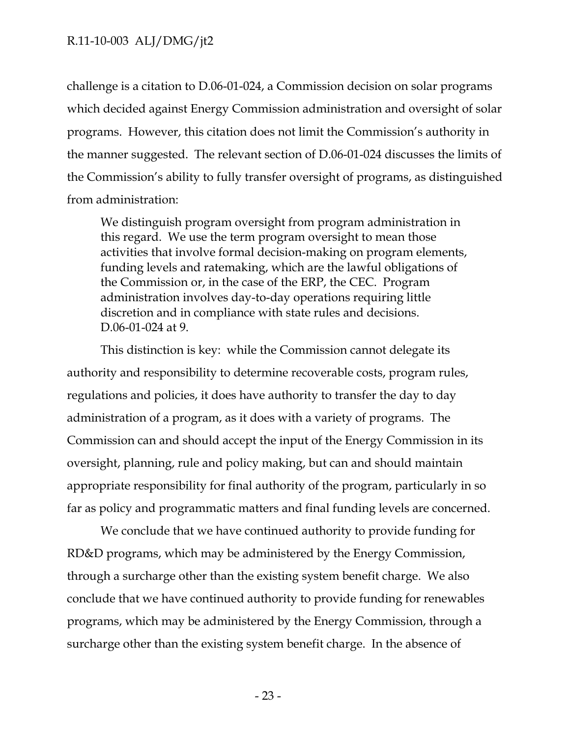challenge is a citation to D.06-01-024, a Commission decision on solar programs which decided against Energy Commission administration and oversight of solar programs. However, this citation does not limit the Commission's authority in the manner suggested. The relevant section of D.06-01-024 discusses the limits of the Commission's ability to fully transfer oversight of programs, as distinguished from administration:

We distinguish program oversight from program administration in this regard. We use the term program oversight to mean those activities that involve formal decision-making on program elements, funding levels and ratemaking, which are the lawful obligations of the Commission or, in the case of the ERP, the CEC. Program administration involves day-to-day operations requiring little discretion and in compliance with state rules and decisions. D.06-01-024 at 9.

This distinction is key: while the Commission cannot delegate its authority and responsibility to determine recoverable costs, program rules, regulations and policies, it does have authority to transfer the day to day administration of a program, as it does with a variety of programs. The Commission can and should accept the input of the Energy Commission in its oversight, planning, rule and policy making, but can and should maintain appropriate responsibility for final authority of the program, particularly in so far as policy and programmatic matters and final funding levels are concerned.

We conclude that we have continued authority to provide funding for RD&D programs, which may be administered by the Energy Commission, through a surcharge other than the existing system benefit charge. We also conclude that we have continued authority to provide funding for renewables programs, which may be administered by the Energy Commission, through a surcharge other than the existing system benefit charge. In the absence of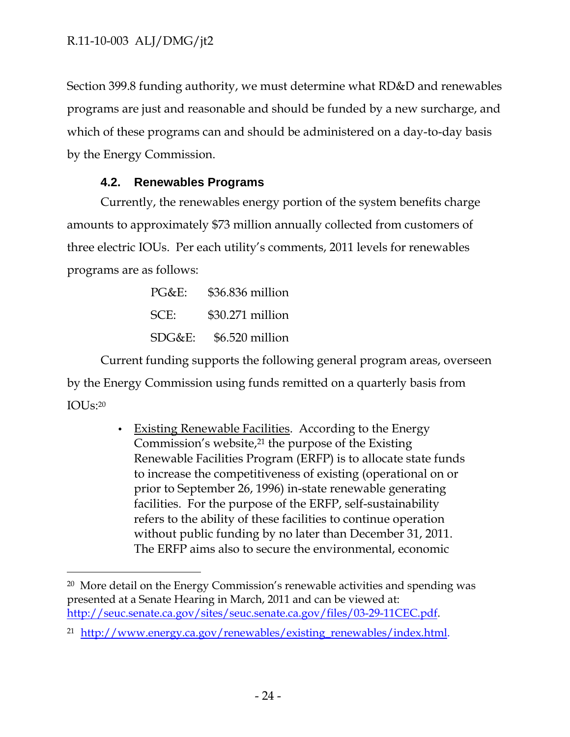-

Section 399.8 funding authority, we must determine what RD&D and renewables programs are just and reasonable and should be funded by a new surcharge, and which of these programs can and should be administered on a day-to-day basis by the Energy Commission.

## **4.2. Renewables Programs**

Currently, the renewables energy portion of the system benefits charge amounts to approximately \$73 million annually collected from customers of three electric IOUs. Per each utility's comments, 2011 levels for renewables programs are as follows:

| $PG&E$ :  | \$36.836 million |
|-----------|------------------|
| SCE:      | \$30.271 million |
| $SDG&E$ : | \$6.520 million  |

Current funding supports the following general program areas, overseen by the Energy Commission using funds remitted on a quarterly basis from IOU $\rm{I}$ S:20

> • Existing Renewable Facilities. According to the Energy Commission's website,<sup>21</sup> the purpose of the Existing Renewable Facilities Program (ERFP) is to allocate state funds to increase the competitiveness of existing (operational on or prior to September 26, 1996) in-state renewable generating facilities. For the purpose of the ERFP, self-sustainability refers to the ability of these facilities to continue operation without public funding by no later than December 31, 2011. The ERFP aims also to secure the environmental, economic

<sup>20</sup> More detail on the Energy Commission's renewable activities and spending was presented at a Senate Hearing in March, 2011 and can be viewed at: http://seuc.senate.ca.gov/sites/seuc.senate.ca.gov/files/03-29-11CEC.pdf.

<sup>21</sup> http://www.energy.ca.gov/renewables/existing\_renewables/index.html.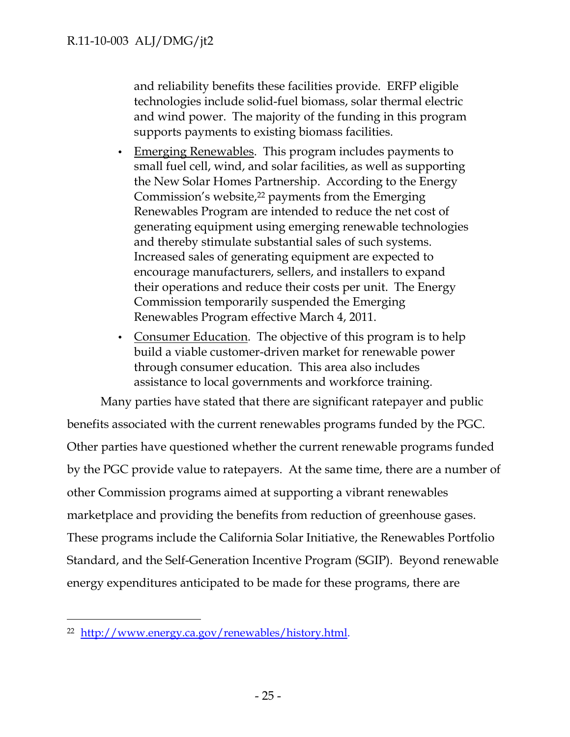and reliability benefits these facilities provide. ERFP eligible technologies include solid-fuel biomass, solar thermal electric and wind power. The majority of the funding in this program supports payments to existing biomass facilities.

- Emerging Renewables. This program includes payments to small fuel cell, wind, and solar facilities, as well as supporting the New Solar Homes Partnership. According to the Energy Commission's website,<sup>22</sup> payments from the Emerging Renewables Program are intended to reduce the net cost of generating equipment using emerging renewable technologies and thereby stimulate substantial sales of such systems. Increased sales of generating equipment are expected to encourage manufacturers, sellers, and installers to expand their operations and reduce their costs per unit. The Energy Commission temporarily suspended the Emerging Renewables Program effective March 4, 2011.
- Consumer Education. The objective of this program is to help build a viable customer-driven market for renewable power through consumer education. This area also includes assistance to local governments and workforce training.

Many parties have stated that there are significant ratepayer and public benefits associated with the current renewables programs funded by the PGC. Other parties have questioned whether the current renewable programs funded by the PGC provide value to ratepayers. At the same time, there are a number of other Commission programs aimed at supporting a vibrant renewables marketplace and providing the benefits from reduction of greenhouse gases. These programs include the California Solar Initiative, the Renewables Portfolio Standard, and the Self-Generation Incentive Program (SGIP). Beyond renewable energy expenditures anticipated to be made for these programs, there are

<sup>22</sup> http://www.energy.ca.gov/renewables/history.html.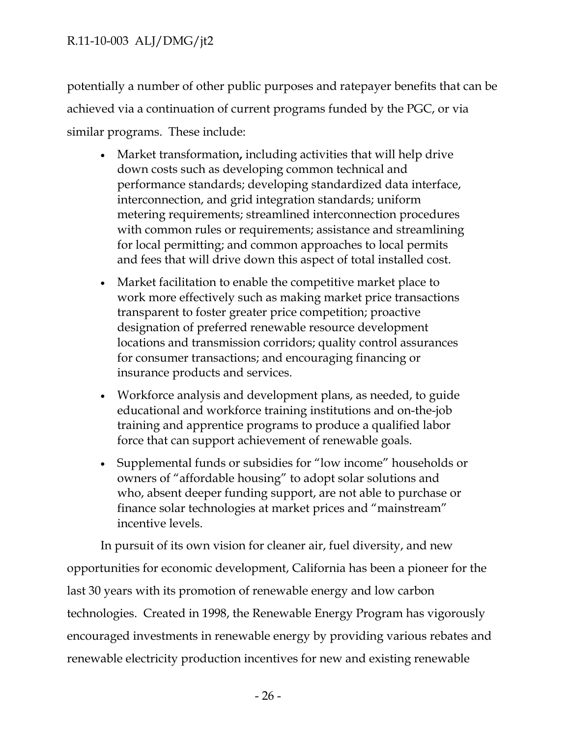potentially a number of other public purposes and ratepayer benefits that can be achieved via a continuation of current programs funded by the PGC, or via similar programs. These include:

- Market transformation**,** including activities that will help drive down costs such as developing common technical and performance standards; developing standardized data interface, interconnection, and grid integration standards; uniform metering requirements; streamlined interconnection procedures with common rules or requirements; assistance and streamlining for local permitting; and common approaches to local permits and fees that will drive down this aspect of total installed cost.
- Market facilitation to enable the competitive market place to work more effectively such as making market price transactions transparent to foster greater price competition; proactive designation of preferred renewable resource development locations and transmission corridors; quality control assurances for consumer transactions; and encouraging financing or insurance products and services.
- Workforce analysis and development plans, as needed, to guide educational and workforce training institutions and on-the-job training and apprentice programs to produce a qualified labor force that can support achievement of renewable goals.
- Supplemental funds or subsidies for "low income" households or owners of "affordable housing" to adopt solar solutions and who, absent deeper funding support, are not able to purchase or finance solar technologies at market prices and "mainstream" incentive levels.

In pursuit of its own vision for cleaner air, fuel diversity, and new opportunities for economic development, California has been a pioneer for the last 30 years with its promotion of renewable energy and low carbon technologies. Created in 1998, the Renewable Energy Program has vigorously encouraged investments in renewable energy by providing various rebates and renewable electricity production incentives for new and existing renewable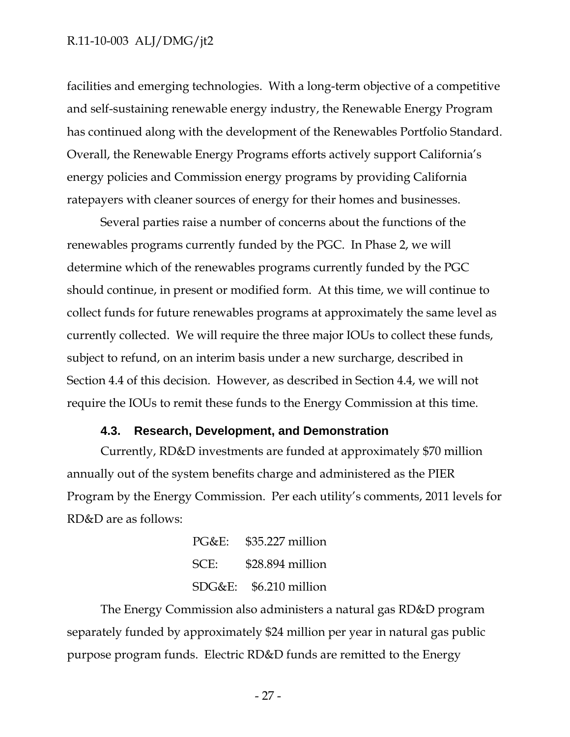facilities and emerging technologies. With a long-term objective of a competitive and self-sustaining renewable energy industry, the Renewable Energy Program has continued along with the development of the Renewables Portfolio Standard. Overall, the Renewable Energy Programs efforts actively support California's energy policies and Commission energy programs by providing California ratepayers with cleaner sources of energy for their homes and businesses.

Several parties raise a number of concerns about the functions of the renewables programs currently funded by the PGC. In Phase 2, we will determine which of the renewables programs currently funded by the PGC should continue, in present or modified form. At this time, we will continue to collect funds for future renewables programs at approximately the same level as currently collected. We will require the three major IOUs to collect these funds, subject to refund, on an interim basis under a new surcharge, described in Section 4.4 of this decision. However, as described in Section 4.4, we will not require the IOUs to remit these funds to the Energy Commission at this time.

#### **4.3. Research, Development, and Demonstration**

Currently, RD&D investments are funded at approximately \$70 million annually out of the system benefits charge and administered as the PIER Program by the Energy Commission. Per each utility's comments, 2011 levels for RD&D are as follows:

> PG&E: \$35.227 million SCE: \$28.894 million SDG&E: \$6.210 million

The Energy Commission also administers a natural gas RD&D program separately funded by approximately \$24 million per year in natural gas public purpose program funds. Electric RD&D funds are remitted to the Energy

- 27 -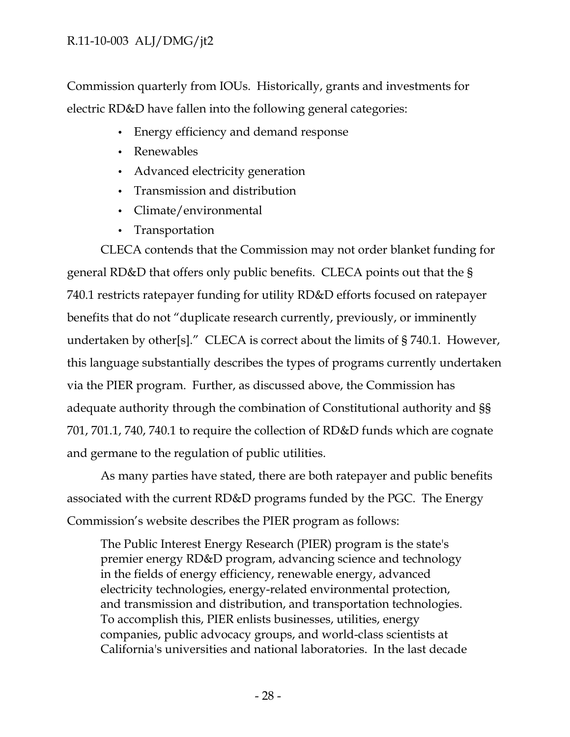Commission quarterly from IOUs. Historically, grants and investments for electric RD&D have fallen into the following general categories:

- Energy efficiency and demand response
- Renewables
- Advanced electricity generation
- Transmission and distribution
- Climate/environmental
- Transportation

CLECA contends that the Commission may not order blanket funding for general RD&D that offers only public benefits. CLECA points out that the § 740.1 restricts ratepayer funding for utility RD&D efforts focused on ratepayer benefits that do not "duplicate research currently, previously, or imminently undertaken by other[s]." CLECA is correct about the limits of § 740.1. However, this language substantially describes the types of programs currently undertaken via the PIER program. Further, as discussed above, the Commission has adequate authority through the combination of Constitutional authority and §§ 701, 701.1, 740, 740.1 to require the collection of RD&D funds which are cognate and germane to the regulation of public utilities.

As many parties have stated, there are both ratepayer and public benefits associated with the current RD&D programs funded by the PGC. The Energy Commission's website describes the PIER program as follows:

The Public Interest Energy Research (PIER) program is the state's premier energy RD&D program, advancing science and technology in the fields of energy efficiency, renewable energy, advanced electricity technologies, energy-related environmental protection, and transmission and distribution, and transportation technologies. To accomplish this, PIER enlists businesses, utilities, energy companies, public advocacy groups, and world-class scientists at California's universities and national laboratories. In the last decade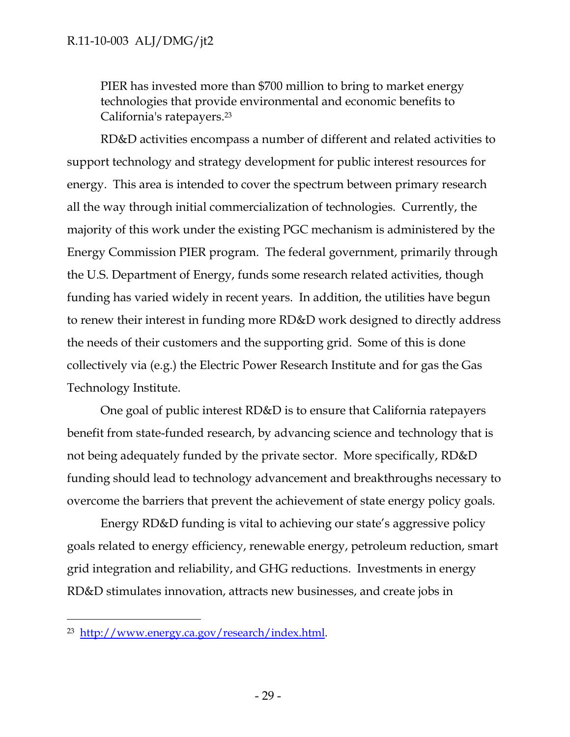PIER has invested more than \$700 million to bring to market energy technologies that provide environmental and economic benefits to California's ratepayers.23

RD&D activities encompass a number of different and related activities to support technology and strategy development for public interest resources for energy. This area is intended to cover the spectrum between primary research all the way through initial commercialization of technologies. Currently, the majority of this work under the existing PGC mechanism is administered by the Energy Commission PIER program. The federal government, primarily through the U.S. Department of Energy, funds some research related activities, though funding has varied widely in recent years. In addition, the utilities have begun to renew their interest in funding more RD&D work designed to directly address the needs of their customers and the supporting grid. Some of this is done collectively via (e.g.) the Electric Power Research Institute and for gas the Gas Technology Institute.

One goal of public interest RD&D is to ensure that California ratepayers benefit from state-funded research, by advancing science and technology that is not being adequately funded by the private sector. More specifically, RD&D funding should lead to technology advancement and breakthroughs necessary to overcome the barriers that prevent the achievement of state energy policy goals.

Energy RD&D funding is vital to achieving our state's aggressive policy goals related to energy efficiency, renewable energy, petroleum reduction, smart grid integration and reliability, and GHG reductions. Investments in energy RD&D stimulates innovation, attracts new businesses, and create jobs in

<sup>23</sup> http://www.energy.ca.gov/research/index.html.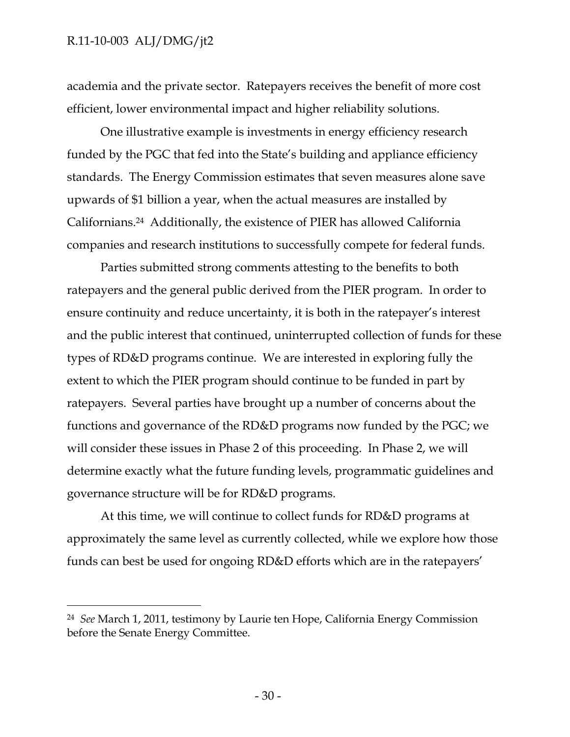$\overline{a}$ 

academia and the private sector. Ratepayers receives the benefit of more cost efficient, lower environmental impact and higher reliability solutions.

One illustrative example is investments in energy efficiency research funded by the PGC that fed into the State's building and appliance efficiency standards. The Energy Commission estimates that seven measures alone save upwards of \$1 billion a year, when the actual measures are installed by Californians.24 Additionally, the existence of PIER has allowed California companies and research institutions to successfully compete for federal funds.

Parties submitted strong comments attesting to the benefits to both ratepayers and the general public derived from the PIER program. In order to ensure continuity and reduce uncertainty, it is both in the ratepayer's interest and the public interest that continued, uninterrupted collection of funds for these types of RD&D programs continue. We are interested in exploring fully the extent to which the PIER program should continue to be funded in part by ratepayers. Several parties have brought up a number of concerns about the functions and governance of the RD&D programs now funded by the PGC; we will consider these issues in Phase 2 of this proceeding. In Phase 2, we will determine exactly what the future funding levels, programmatic guidelines and governance structure will be for RD&D programs.

At this time, we will continue to collect funds for RD&D programs at approximately the same level as currently collected, while we explore how those funds can best be used for ongoing RD&D efforts which are in the ratepayers'

<sup>24</sup> *See* March 1, 2011, testimony by Laurie ten Hope, California Energy Commission before the Senate Energy Committee.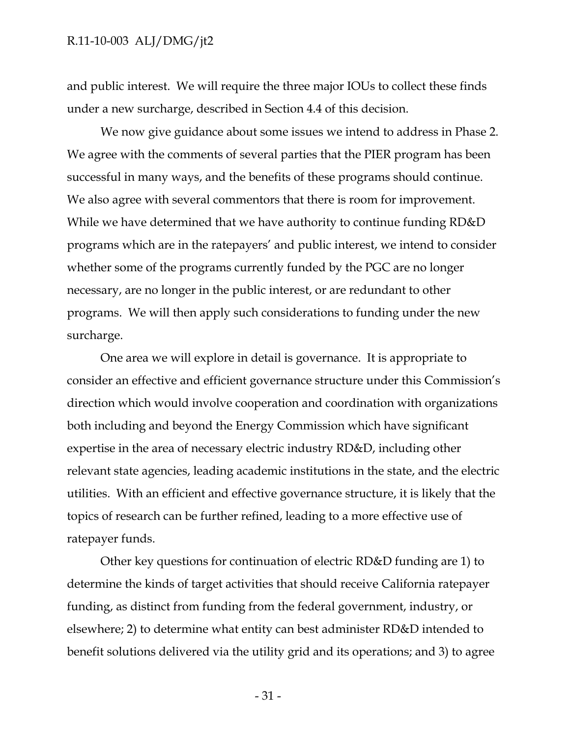and public interest. We will require the three major IOUs to collect these finds under a new surcharge, described in Section 4.4 of this decision.

We now give guidance about some issues we intend to address in Phase 2. We agree with the comments of several parties that the PIER program has been successful in many ways, and the benefits of these programs should continue. We also agree with several commentors that there is room for improvement. While we have determined that we have authority to continue funding RD&D programs which are in the ratepayers' and public interest, we intend to consider whether some of the programs currently funded by the PGC are no longer necessary, are no longer in the public interest, or are redundant to other programs. We will then apply such considerations to funding under the new surcharge.

One area we will explore in detail is governance. It is appropriate to consider an effective and efficient governance structure under this Commission's direction which would involve cooperation and coordination with organizations both including and beyond the Energy Commission which have significant expertise in the area of necessary electric industry RD&D, including other relevant state agencies, leading academic institutions in the state, and the electric utilities. With an efficient and effective governance structure, it is likely that the topics of research can be further refined, leading to a more effective use of ratepayer funds.

Other key questions for continuation of electric RD&D funding are 1) to determine the kinds of target activities that should receive California ratepayer funding, as distinct from funding from the federal government, industry, or elsewhere; 2) to determine what entity can best administer RD&D intended to benefit solutions delivered via the utility grid and its operations; and 3) to agree

- 31 -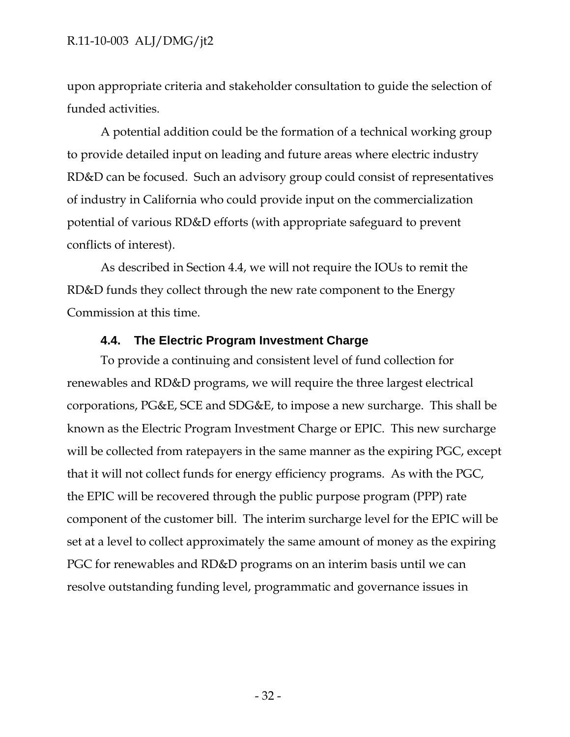upon appropriate criteria and stakeholder consultation to guide the selection of funded activities.

A potential addition could be the formation of a technical working group to provide detailed input on leading and future areas where electric industry RD&D can be focused. Such an advisory group could consist of representatives of industry in California who could provide input on the commercialization potential of various RD&D efforts (with appropriate safeguard to prevent conflicts of interest).

As described in Section 4.4, we will not require the IOUs to remit the RD&D funds they collect through the new rate component to the Energy Commission at this time.

# **4.4. The Electric Program Investment Charge**

To provide a continuing and consistent level of fund collection for renewables and RD&D programs, we will require the three largest electrical corporations, PG&E, SCE and SDG&E, to impose a new surcharge. This shall be known as the Electric Program Investment Charge or EPIC. This new surcharge will be collected from ratepayers in the same manner as the expiring PGC, except that it will not collect funds for energy efficiency programs. As with the PGC, the EPIC will be recovered through the public purpose program (PPP) rate component of the customer bill. The interim surcharge level for the EPIC will be set at a level to collect approximately the same amount of money as the expiring PGC for renewables and RD&D programs on an interim basis until we can resolve outstanding funding level, programmatic and governance issues in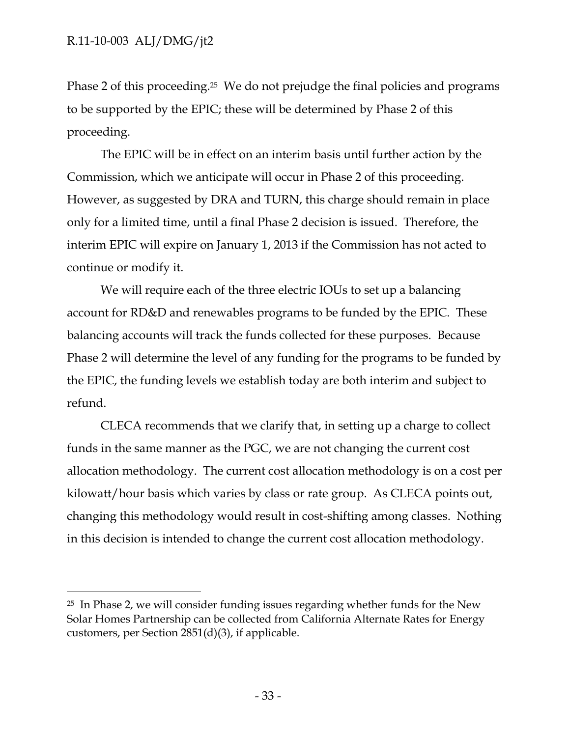-

Phase 2 of this proceeding.<sup>25</sup> We do not prejudge the final policies and programs to be supported by the EPIC; these will be determined by Phase 2 of this proceeding.

The EPIC will be in effect on an interim basis until further action by the Commission, which we anticipate will occur in Phase 2 of this proceeding. However, as suggested by DRA and TURN, this charge should remain in place only for a limited time, until a final Phase 2 decision is issued. Therefore, the interim EPIC will expire on January 1, 2013 if the Commission has not acted to continue or modify it.

We will require each of the three electric IOUs to set up a balancing account for RD&D and renewables programs to be funded by the EPIC. These balancing accounts will track the funds collected for these purposes. Because Phase 2 will determine the level of any funding for the programs to be funded by the EPIC, the funding levels we establish today are both interim and subject to refund.

CLECA recommends that we clarify that, in setting up a charge to collect funds in the same manner as the PGC, we are not changing the current cost allocation methodology. The current cost allocation methodology is on a cost per kilowatt/hour basis which varies by class or rate group. As CLECA points out, changing this methodology would result in cost-shifting among classes. Nothing in this decision is intended to change the current cost allocation methodology.

<sup>25</sup> In Phase 2, we will consider funding issues regarding whether funds for the New Solar Homes Partnership can be collected from California Alternate Rates for Energy customers, per Section 2851(d)(3), if applicable.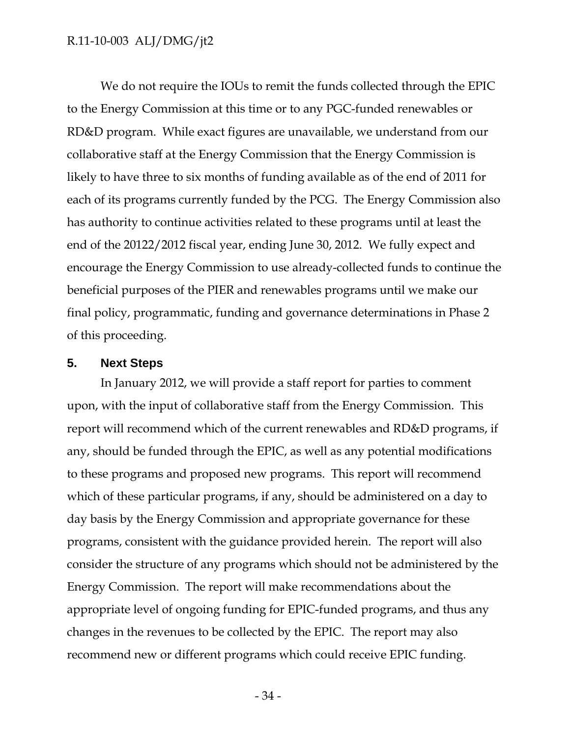We do not require the IOUs to remit the funds collected through the EPIC to the Energy Commission at this time or to any PGC-funded renewables or RD&D program. While exact figures are unavailable, we understand from our collaborative staff at the Energy Commission that the Energy Commission is likely to have three to six months of funding available as of the end of 2011 for each of its programs currently funded by the PCG. The Energy Commission also has authority to continue activities related to these programs until at least the end of the 20122/2012 fiscal year, ending June 30, 2012. We fully expect and encourage the Energy Commission to use already-collected funds to continue the beneficial purposes of the PIER and renewables programs until we make our final policy, programmatic, funding and governance determinations in Phase 2 of this proceeding.

#### **5. Next Steps**

In January 2012, we will provide a staff report for parties to comment upon, with the input of collaborative staff from the Energy Commission. This report will recommend which of the current renewables and RD&D programs, if any, should be funded through the EPIC, as well as any potential modifications to these programs and proposed new programs. This report will recommend which of these particular programs, if any, should be administered on a day to day basis by the Energy Commission and appropriate governance for these programs, consistent with the guidance provided herein. The report will also consider the structure of any programs which should not be administered by the Energy Commission. The report will make recommendations about the appropriate level of ongoing funding for EPIC-funded programs, and thus any changes in the revenues to be collected by the EPIC. The report may also recommend new or different programs which could receive EPIC funding.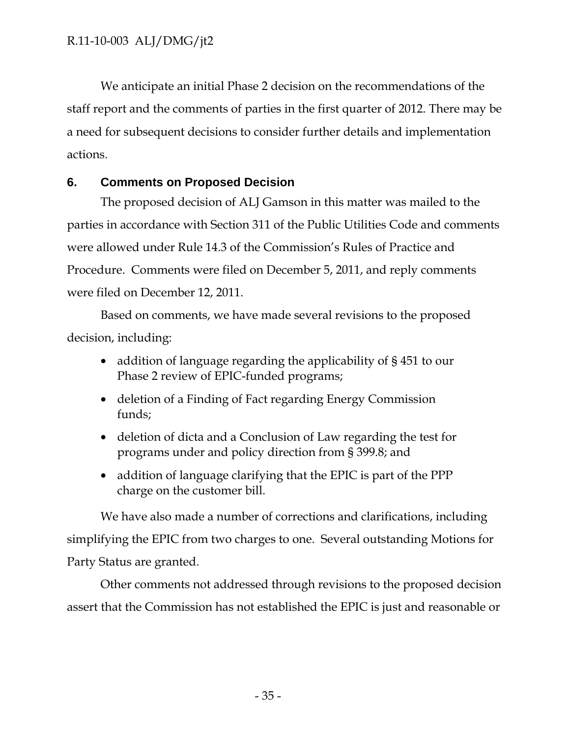We anticipate an initial Phase 2 decision on the recommendations of the staff report and the comments of parties in the first quarter of 2012. There may be a need for subsequent decisions to consider further details and implementation actions.

## **6. Comments on Proposed Decision**

The proposed decision of ALJ Gamson in this matter was mailed to the parties in accordance with Section 311 of the Public Utilities Code and comments were allowed under Rule 14.3 of the Commission's Rules of Practice and Procedure. Comments were filed on December 5, 2011, and reply comments were filed on December 12, 2011.

Based on comments, we have made several revisions to the proposed decision, including:

- addition of language regarding the applicability of §451 to our Phase 2 review of EPIC-funded programs;
- deletion of a Finding of Fact regarding Energy Commission funds;
- deletion of dicta and a Conclusion of Law regarding the test for programs under and policy direction from § 399.8; and
- addition of language clarifying that the EPIC is part of the PPP charge on the customer bill.

We have also made a number of corrections and clarifications, including simplifying the EPIC from two charges to one. Several outstanding Motions for Party Status are granted.

Other comments not addressed through revisions to the proposed decision assert that the Commission has not established the EPIC is just and reasonable or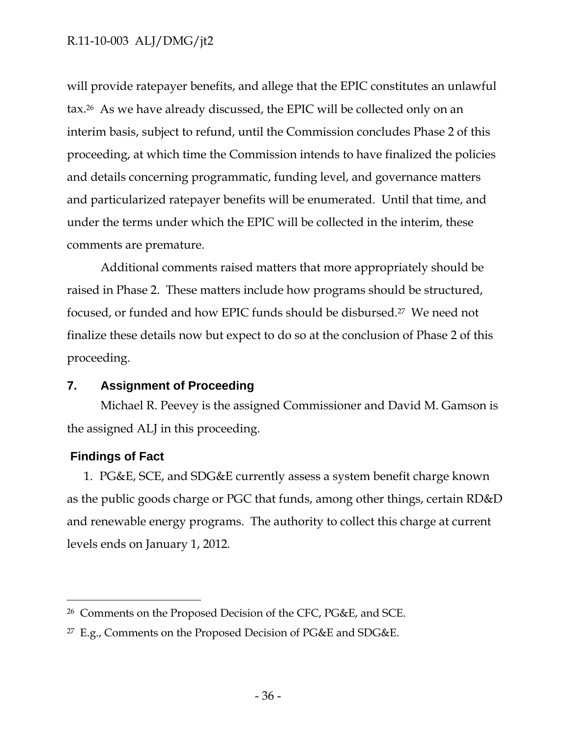will provide ratepayer benefits, and allege that the EPIC constitutes an unlawful tax.26 As we have already discussed, the EPIC will be collected only on an interim basis, subject to refund, until the Commission concludes Phase 2 of this proceeding, at which time the Commission intends to have finalized the policies and details concerning programmatic, funding level, and governance matters and particularized ratepayer benefits will be enumerated. Until that time, and under the terms under which the EPIC will be collected in the interim, these comments are premature.

Additional comments raised matters that more appropriately should be raised in Phase 2. These matters include how programs should be structured, focused, or funded and how EPIC funds should be disbursed.27 We need not finalize these details now but expect to do so at the conclusion of Phase 2 of this proceeding.

## **7. Assignment of Proceeding**

Michael R. Peevey is the assigned Commissioner and David M. Gamson is the assigned ALJ in this proceeding.

## **Findings of Fact**

 $\overline{a}$ 

1. PG&E, SCE, and SDG&E currently assess a system benefit charge known as the public goods charge or PGC that funds, among other things, certain RD&D and renewable energy programs. The authority to collect this charge at current levels ends on January 1, 2012.

<sup>26</sup> Comments on the Proposed Decision of the CFC, PG&E, and SCE.

<sup>&</sup>lt;sup>27</sup> E.g., Comments on the Proposed Decision of PG&E and SDG&E.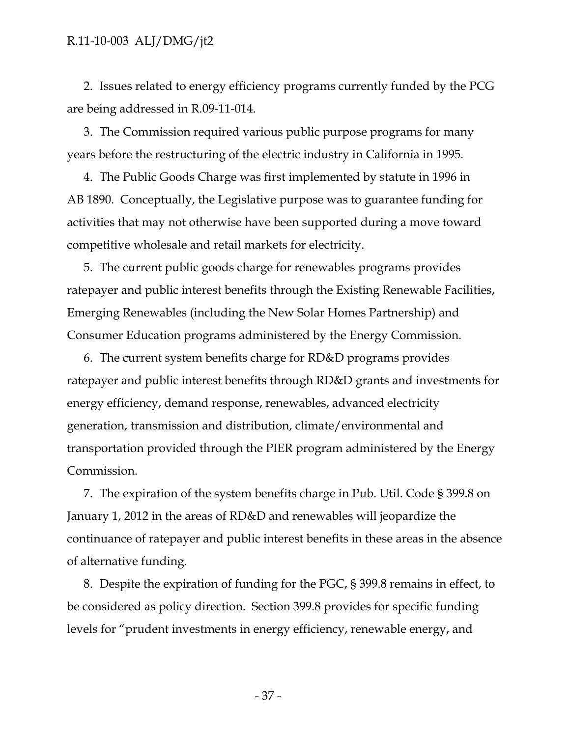2. Issues related to energy efficiency programs currently funded by the PCG are being addressed in R.09-11-014.

3. The Commission required various public purpose programs for many years before the restructuring of the electric industry in California in 1995.

4. The Public Goods Charge was first implemented by statute in 1996 in AB 1890. Conceptually, the Legislative purpose was to guarantee funding for activities that may not otherwise have been supported during a move toward competitive wholesale and retail markets for electricity.

5. The current public goods charge for renewables programs provides ratepayer and public interest benefits through the Existing Renewable Facilities, Emerging Renewables (including the New Solar Homes Partnership) and Consumer Education programs administered by the Energy Commission.

6. The current system benefits charge for RD&D programs provides ratepayer and public interest benefits through RD&D grants and investments for energy efficiency, demand response, renewables, advanced electricity generation, transmission and distribution, climate/environmental and transportation provided through the PIER program administered by the Energy Commission.

7. The expiration of the system benefits charge in Pub. Util. Code § 399.8 on January 1, 2012 in the areas of RD&D and renewables will jeopardize the continuance of ratepayer and public interest benefits in these areas in the absence of alternative funding.

8. Despite the expiration of funding for the PGC, § 399.8 remains in effect, to be considered as policy direction. Section 399.8 provides for specific funding levels for "prudent investments in energy efficiency, renewable energy, and

- 37 -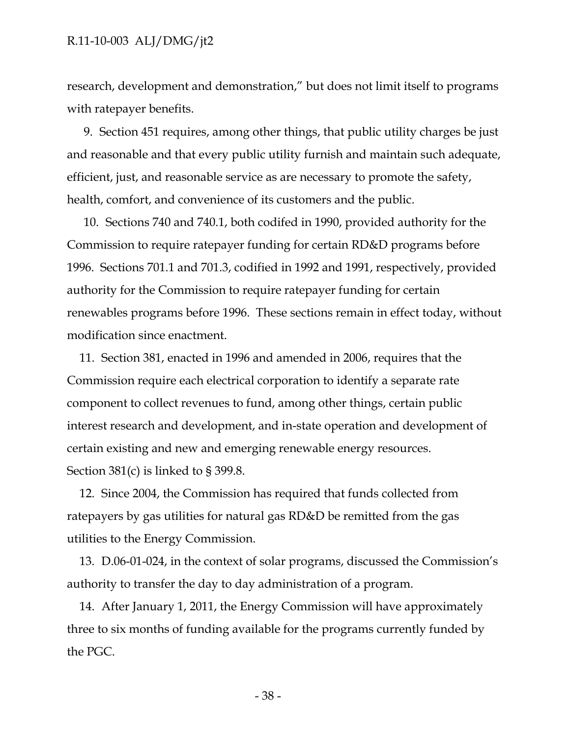research, development and demonstration," but does not limit itself to programs with ratepayer benefits.

9. Section 451 requires, among other things, that public utility charges be just and reasonable and that every public utility furnish and maintain such adequate, efficient, just, and reasonable service as are necessary to promote the safety, health, comfort, and convenience of its customers and the public.

10. Sections 740 and 740.1, both codifed in 1990, provided authority for the Commission to require ratepayer funding for certain RD&D programs before 1996. Sections 701.1 and 701.3, codified in 1992 and 1991, respectively, provided authority for the Commission to require ratepayer funding for certain renewables programs before 1996. These sections remain in effect today, without modification since enactment.

11. Section 381, enacted in 1996 and amended in 2006, requires that the Commission require each electrical corporation to identify a separate rate component to collect revenues to fund, among other things, certain public interest research and development, and in-state operation and development of certain existing and new and emerging renewable energy resources. Section 381(c) is linked to § 399.8.

12. Since 2004, the Commission has required that funds collected from ratepayers by gas utilities for natural gas RD&D be remitted from the gas utilities to the Energy Commission.

13. D.06-01-024, in the context of solar programs, discussed the Commission's authority to transfer the day to day administration of a program.

14. After January 1, 2011, the Energy Commission will have approximately three to six months of funding available for the programs currently funded by the PGC.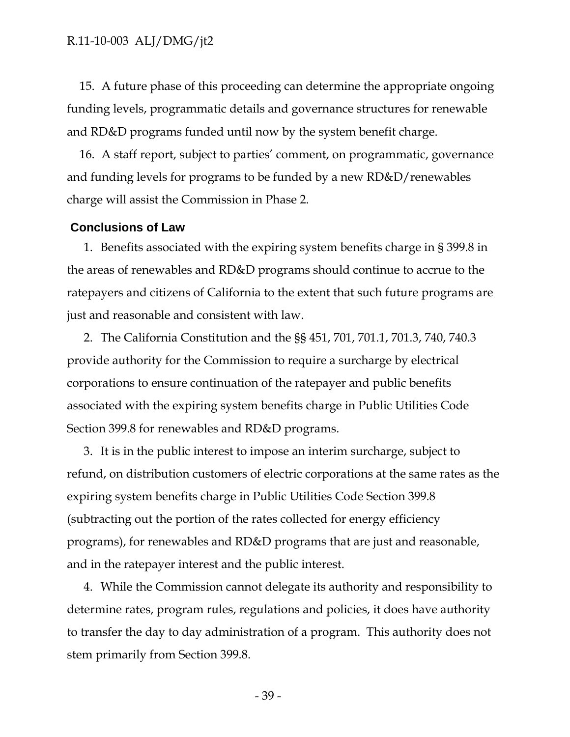15. A future phase of this proceeding can determine the appropriate ongoing funding levels, programmatic details and governance structures for renewable and RD&D programs funded until now by the system benefit charge.

16. A staff report, subject to parties' comment, on programmatic, governance and funding levels for programs to be funded by a new RD&D/renewables charge will assist the Commission in Phase 2.

## **Conclusions of Law**

1. Benefits associated with the expiring system benefits charge in § 399.8 in the areas of renewables and RD&D programs should continue to accrue to the ratepayers and citizens of California to the extent that such future programs are just and reasonable and consistent with law.

2. The California Constitution and the §§ 451, 701, 701.1, 701.3, 740, 740.3 provide authority for the Commission to require a surcharge by electrical corporations to ensure continuation of the ratepayer and public benefits associated with the expiring system benefits charge in Public Utilities Code Section 399.8 for renewables and RD&D programs.

3. It is in the public interest to impose an interim surcharge, subject to refund, on distribution customers of electric corporations at the same rates as the expiring system benefits charge in Public Utilities Code Section 399.8 (subtracting out the portion of the rates collected for energy efficiency programs), for renewables and RD&D programs that are just and reasonable, and in the ratepayer interest and the public interest.

4. While the Commission cannot delegate its authority and responsibility to determine rates, program rules, regulations and policies, it does have authority to transfer the day to day administration of a program. This authority does not stem primarily from Section 399.8.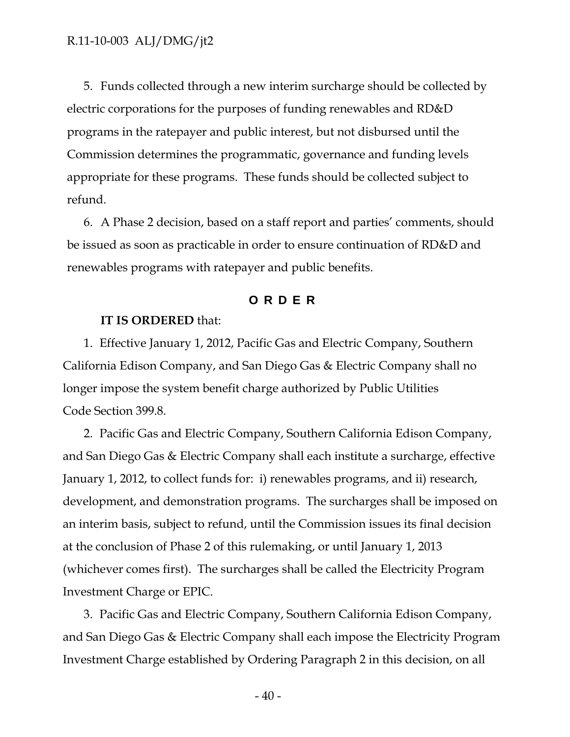5. Funds collected through a new interim surcharge should be collected by electric corporations for the purposes of funding renewables and RD&D programs in the ratepayer and public interest, but not disbursed until the Commission determines the programmatic, governance and funding levels appropriate for these programs. These funds should be collected subject to refund.

6. A Phase 2 decision, based on a staff report and parties' comments, should be issued as soon as practicable in order to ensure continuation of RD&D and renewables programs with ratepayer and public benefits.

## **ORDER**

#### **IT IS ORDERED** that:

1. Effective January 1, 2012, Pacific Gas and Electric Company, Southern California Edison Company, and San Diego Gas & Electric Company shall no longer impose the system benefit charge authorized by Public Utilities Code Section 399.8.

2. Pacific Gas and Electric Company, Southern California Edison Company, and San Diego Gas & Electric Company shall each institute a surcharge, effective January 1, 2012, to collect funds for: i) renewables programs, and ii) research, development, and demonstration programs. The surcharges shall be imposed on an interim basis, subject to refund, until the Commission issues its final decision at the conclusion of Phase 2 of this rulemaking, or until January 1, 2013 (whichever comes first). The surcharges shall be called the Electricity Program Investment Charge or EPIC.

3. Pacific Gas and Electric Company, Southern California Edison Company, and San Diego Gas & Electric Company shall each impose the Electricity Program Investment Charge established by Ordering Paragraph 2 in this decision, on all

- 40 -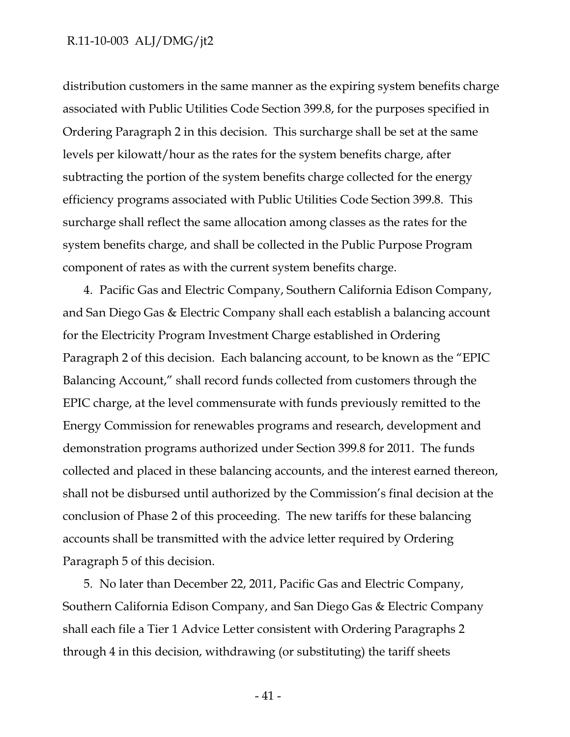distribution customers in the same manner as the expiring system benefits charge associated with Public Utilities Code Section 399.8, for the purposes specified in Ordering Paragraph 2 in this decision. This surcharge shall be set at the same levels per kilowatt/hour as the rates for the system benefits charge, after subtracting the portion of the system benefits charge collected for the energy efficiency programs associated with Public Utilities Code Section 399.8. This surcharge shall reflect the same allocation among classes as the rates for the system benefits charge, and shall be collected in the Public Purpose Program component of rates as with the current system benefits charge.

4. Pacific Gas and Electric Company, Southern California Edison Company, and San Diego Gas & Electric Company shall each establish a balancing account for the Electricity Program Investment Charge established in Ordering Paragraph 2 of this decision. Each balancing account, to be known as the "EPIC Balancing Account," shall record funds collected from customers through the EPIC charge, at the level commensurate with funds previously remitted to the Energy Commission for renewables programs and research, development and demonstration programs authorized under Section 399.8 for 2011. The funds collected and placed in these balancing accounts, and the interest earned thereon, shall not be disbursed until authorized by the Commission's final decision at the conclusion of Phase 2 of this proceeding. The new tariffs for these balancing accounts shall be transmitted with the advice letter required by Ordering Paragraph 5 of this decision.

5. No later than December 22, 2011, Pacific Gas and Electric Company, Southern California Edison Company, and San Diego Gas & Electric Company shall each file a Tier 1 Advice Letter consistent with Ordering Paragraphs 2 through 4 in this decision, withdrawing (or substituting) the tariff sheets

- 41 -